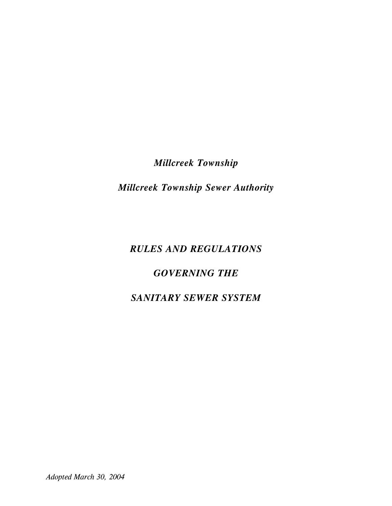*Millcreek Township*

*Millcreek Township Sewer Authority*

# *RULES AND REGULATIONS*

# *GOVERNING THE*

# *SANITARY SEWER SYSTEM*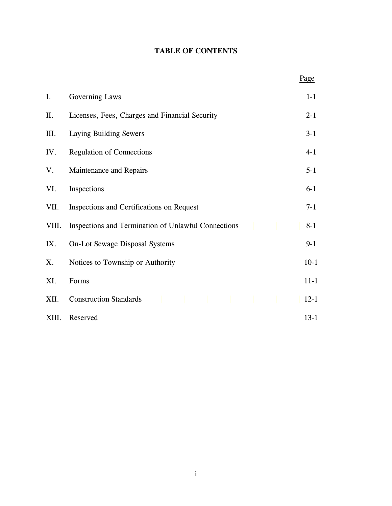## **TABLE OF CONTENTS**

|                |                                                     | Page     |
|----------------|-----------------------------------------------------|----------|
| $\mathbf{I}$ . | Governing Laws                                      | $1-1$    |
| II.            | Licenses, Fees, Charges and Financial Security      | $2 - 1$  |
| Ш.             | Laying Building Sewers                              | $3 - 1$  |
| IV.            | <b>Regulation of Connections</b>                    | $4 - 1$  |
| V.             | Maintenance and Repairs                             | $5 - 1$  |
| VI.            | Inspections                                         | $6 - 1$  |
| VII.           | Inspections and Certifications on Request           | $7-1$    |
| VIII.          | Inspections and Termination of Unlawful Connections | $8 - 1$  |
| IX.            | <b>On-Lot Sewage Disposal Systems</b>               | $9-1$    |
| Χ.             | Notices to Township or Authority                    | $10-1$   |
| XI.            | Forms                                               | $11 - 1$ |
| XII.           | <b>Construction Standards</b>                       | $12 - 1$ |
| XIII.          | Reserved                                            | $13 - 1$ |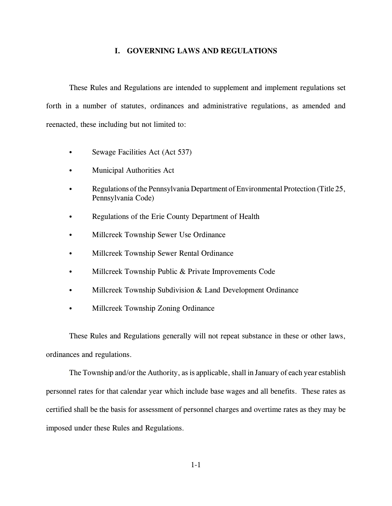#### **I. GOVERNING LAWS AND REGULATIONS**

These Rules and Regulations are intended to supplement and implement regulations set forth in a number of statutes, ordinances and administrative regulations, as amended and reenacted, these including but not limited to:

- Sewage Facilities Act (Act 537)
- Municipal Authorities Act
- Regulations of the Pennsylvania Department of Environmental Protection (Title 25, Pennsylvania Code)
- Regulations of the Erie County Department of Health
- Millcreek Township Sewer Use Ordinance
- Millcreek Township Sewer Rental Ordinance
- Millcreek Township Public & Private Improvements Code
- $\bullet$  Millcreek Township Subdivision & Land Development Ordinance
- Millcreek Township Zoning Ordinance

These Rules and Regulations generally will not repeat substance in these or other laws, ordinances and regulations.

The Township and/or the Authority, as is applicable, shall in January of each year establish personnel rates for that calendar year which include base wages and all benefits. These rates as certified shall be the basis for assessment of personnel charges and overtime rates as they may be imposed under these Rules and Regulations.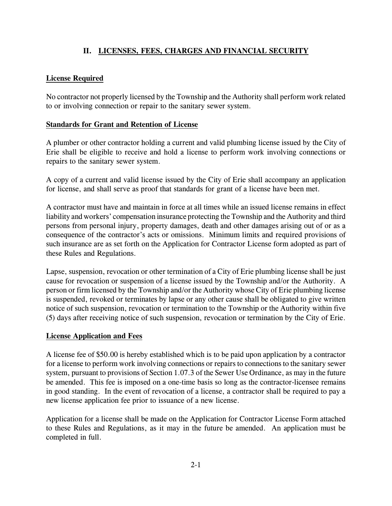## **II. LICENSES, FEES, CHARGES AND FINANCIAL SECURITY**

## **License Required**

No contractor not properly licensed by the Township and the Authority shall perform work related to or involving connection or repair to the sanitary sewer system.

## **Standards for Grant and Retention of License**

A plumber or other contractor holding a current and valid plumbing license issued by the City of Erie shall be eligible to receive and hold a license to perform work involving connections or repairs to the sanitary sewer system.

A copy of a current and valid license issued by the City of Erie shall accompany an application for license, and shall serve as proof that standards for grant of a license have been met.

A contractor must have and maintain in force at all times while an issued license remains in effect liability and workers' compensation insurance protecting the Township and the Authority and third persons from personal injury, property damages, death and other damages arising out of or as a consequence of the contractor's acts or omissions. Minimum limits and required provisions of such insurance are as set forth on the Application for Contractor License form adopted as part of these Rules and Regulations.

Lapse, suspension, revocation or other termination of a City of Erie plumbing license shall be just cause for revocation or suspension of a license issued by the Township and/or the Authority. A person or firm licensed by the Township and/or the Authority whose City of Erie plumbing license is suspended, revoked or terminates by lapse or any other cause shall be obligated to give written notice of such suspension, revocation or termination to the Township or the Authority within five (5) days after receiving notice of such suspension, revocation or termination by the City of Erie.

## **License Application and Fees**

A license fee of \$50.00 is hereby established which is to be paid upon application by a contractor for a license to perform work involving connections or repairs to connections to the sanitary sewer system, pursuant to provisions of Section 1.07.3 of the Sewer Use Ordinance, as may in the future be amended. This fee is imposed on a one-time basis so long as the contractor-licensee remains in good standing. In the event of revocation of a license, a contractor shall be required to pay a new license application fee prior to issuance of a new license.

Application for a license shall be made on the Application for Contractor License Form attached to these Rules and Regulations, as it may in the future be amended. An application must be completed in full.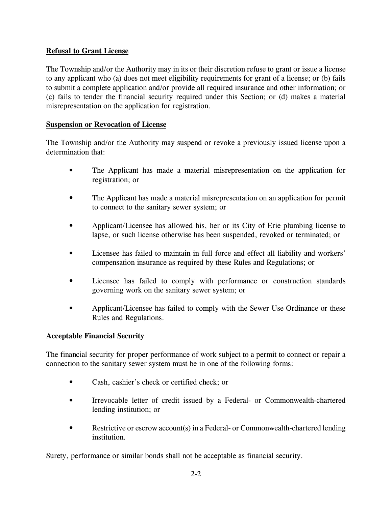## **Refusal to Grant License**

The Township and/or the Authority may in its or their discretion refuse to grant or issue a license to any applicant who (a) does not meet eligibility requirements for grant of a license; or (b) fails to submit a complete application and/or provide all required insurance and other information; or (c) fails to tender the financial security required under this Section; or (d) makes a material misrepresentation on the application for registration.

## **Suspension or Revocation of License**

The Township and/or the Authority may suspend or revoke a previously issued license upon a determination that:

- The Applicant has made a material misrepresentation on the application for registration; or
- The Applicant has made a material misrepresentation on an application for permit to connect to the sanitary sewer system; or
- Applicant/Licensee has allowed his, her or its City of Erie plumbing license to lapse, or such license otherwise has been suspended, revoked or terminated; or
- Licensee has failed to maintain in full force and effect all liability and workers' compensation insurance as required by these Rules and Regulations; or
- Licensee has failed to comply with performance or construction standards governing work on the sanitary sewer system; or
- Applicant/Licensee has failed to comply with the Sewer Use Ordinance or these Rules and Regulations.

## **Acceptable Financial Security**

The financial security for proper performance of work subject to a permit to connect or repair a connection to the sanitary sewer system must be in one of the following forms:

- Cash, cashier's check or certified check; or
- Irrevocable letter of credit issued by a Federal- or Commonwealth-chartered lending institution; or
- Restrictive or escrow account(s) in a Federal- or Commonwealth-chartered lending institution.

Surety, performance or similar bonds shall not be acceptable as financial security.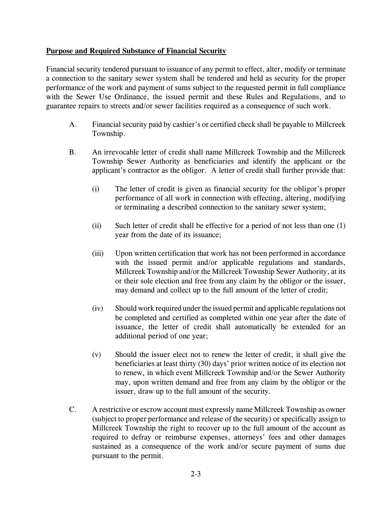## **Purpose and Required Substance of Financial Security**

Financial security tendered pursuant to issuance of any permit to effect, alter, modify or terminate a connection to the sanitary sewer system shall be tendered and held as security for the proper performance of the work and payment of sums subject to the requested permit in full compliance with the Sewer Use Ordinance, the issued permit and these Rules and Regulations, and to guarantee repairs to streets and/or sewer facilities required as a consequence of such work.

- A. Financial security paid by cashier's or certified check shall be payable to Millcreek Township.
- B. An irrevocable letter of credit shall name Millcreek Township and the Millcreek Township Sewer Authority as beneficiaries and identify the applicant or the applicant's contractor as the obligor. A letter of credit shall further provide that:
	- (i) The letter of credit is given as financial security for the obligor's proper performance of all work in connection with effecting, altering, modifying or terminating a described connection to the sanitary sewer system;
	- (ii) Such letter of credit shall be effective for a period of not less than one (1) year from the date of its issuance;
	- (iii) Upon written certification that work has not been performed in accordance with the issued permit and/or applicable regulations and standards, Millcreek Township and/or the Millcreek Township Sewer Authority, at its or their sole election and free from any claim by the obligor or the issuer, may demand and collect up to the full amount of the letter of credit;
	- (iv) Should work required under the issued permit and applicable regulations not be completed and certified as completed within one year after the date of issuance, the letter of credit shall automatically be extended for an additional period of one year;
	- (v) Should the issuer elect not to renew the letter of credit, it shall give the beneficiaries at least thirty (30) days' prior written notice of its election not to renew, in which event Millcreek Township and/or the Sewer Authority may, upon written demand and free from any claim by the obligor or the issuer, draw up to the full amount of the security.
- C. A restrictive or escrow account must expressly name Millcreek Township as owner (subject to proper performance and release of the security) or specifically assign to Millcreek Township the right to recover up to the full amount of the account as required to defray or reimburse expenses, attorneys' fees and other damages sustained as a consequence of the work and/or secure payment of sums due pursuant to the permit.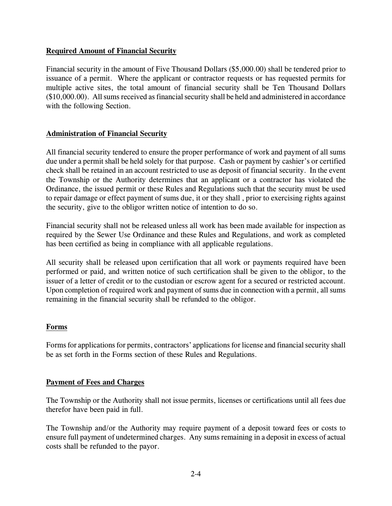## **Required Amount of Financial Security**

Financial security in the amount of Five Thousand Dollars (\$5,000.00) shall be tendered prior to issuance of a permit. Where the applicant or contractor requests or has requested permits for multiple active sites, the total amount of financial security shall be Ten Thousand Dollars  $($10,000.00)$ . All sums received as financial security shall be held and administered in accordance with the following Section.

## **Administration of Financial Security**

All financial security tendered to ensure the proper performance of work and payment of all sums due under a permit shall be held solely for that purpose. Cash or payment by cashier's or certified check shall be retained in an account restricted to use as deposit of financial security. In the event the Township or the Authority determines that an applicant or a contractor has violated the Ordinance, the issued permit or these Rules and Regulations such that the security must be used to repair damage or effect payment of sums due, it or they shall , prior to exercising rights against the security, give to the obligor written notice of intention to do so.

Financial security shall not be released unless all work has been made available for inspection as required by the Sewer Use Ordinance and these Rules and Regulations, and work as completed has been certified as being in compliance with all applicable regulations.

All security shall be released upon certification that all work or payments required have been performed or paid, and written notice of such certification shall be given to the obligor, to the issuer of a letter of credit or to the custodian or escrow agent for a secured or restricted account. Upon completion of required work and payment of sums due in connection with a permit, all sums remaining in the financial security shall be refunded to the obligor.

## **Forms**

Forms for applications for permits, contractors' applications for license and financial security shall be as set forth in the Forms section of these Rules and Regulations.

## **Payment of Fees and Charges**

The Township or the Authority shall not issue permits, licenses or certifications until all fees due therefor have been paid in full.

The Township and/or the Authority may require payment of a deposit toward fees or costs to ensure full payment of undetermined charges. Any sums remaining in a deposit in excess of actual costs shall be refunded to the payor.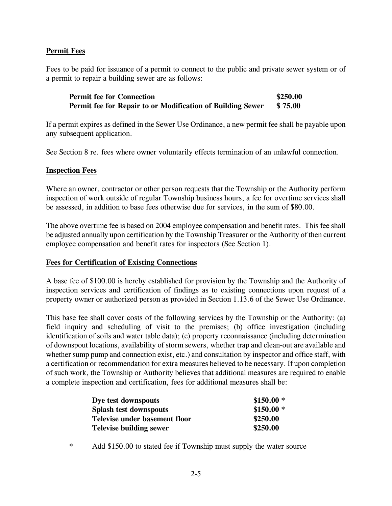## **Permit Fees**

Fees to be paid for issuance of a permit to connect to the public and private sewer system or of a permit to repair a building sewer are as follows:

**Permit fee for Connection \$250.00 Permit fee for Repair to or Modification of Building Sewer \$ 75.00**

If a permit expires as defined in the Sewer Use Ordinance, a new permit fee shall be payable upon any subsequent application.

See Section 8 re. fees where owner voluntarily effects termination of an unlawful connection.

#### **Inspection Fees**

Where an owner, contractor or other person requests that the Township or the Authority perform inspection of work outside of regular Township business hours, a fee for overtime services shall be assessed, in addition to base fees otherwise due for services, in the sum of \$80.00.

The above overtime fee is based on 2004 employee compensation and benefit rates. This fee shall be adjusted annually upon certification by the Township Treasurer or the Authority of then current employee compensation and benefit rates for inspectors (See Section 1).

#### **Fees for Certification of Existing Connections**

A base fee of \$100.00 is hereby established for provision by the Township and the Authority of inspection services and certification of findings as to existing connections upon request of a property owner or authorized person as provided in Section 1.13.6 of the Sewer Use Ordinance.

This base fee shall cover costs of the following services by the Township or the Authority: (a) field inquiry and scheduling of visit to the premises; (b) office investigation (including identification of soils and water table data); (c) property reconnaissance (including determination of downspout locations, availability of storm sewers, whether trap and clean-out are available and whether sump pump and connection exist, etc.) and consultation by inspector and office staff, with a certification or recommendation for extra measures believed to be necessary. If upon completion of such work, the Township or Authority believes that additional measures are required to enable a complete inspection and certification, fees for additional measures shall be:

| Dye test downspouts            | $$150.00*$ |
|--------------------------------|------------|
| <b>Splash test downspouts</b>  | $$150.00*$ |
| Televise under basement floor  | \$250.00   |
| <b>Televise building sewer</b> | \$250.00   |

\* Add \$150.00 to stated fee if Township must supply the water source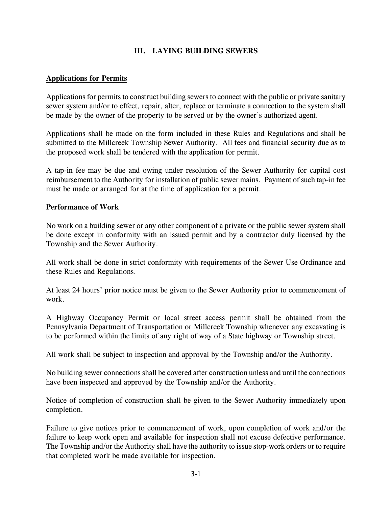## **III. LAYING BUILDING SEWERS**

#### **Applications for Permits**

Applications for permits to construct building sewers to connect with the public or private sanitary sewer system and/or to effect, repair, alter, replace or terminate a connection to the system shall be made by the owner of the property to be served or by the owner's authorized agent.

Applications shall be made on the form included in these Rules and Regulations and shall be submitted to the Millcreek Township Sewer Authority. All fees and financial security due as to the proposed work shall be tendered with the application for permit.

A tap-in fee may be due and owing under resolution of the Sewer Authority for capital cost reimbursement to the Authority for installation of public sewer mains. Payment of such tap-in fee must be made or arranged for at the time of application for a permit.

## **Performance of Work**

No work on a building sewer or any other component of a private or the public sewer system shall be done except in conformity with an issued permit and by a contractor duly licensed by the Township and the Sewer Authority.

All work shall be done in strict conformity with requirements of the Sewer Use Ordinance and these Rules and Regulations.

At least 24 hours' prior notice must be given to the Sewer Authority prior to commencement of work.

A Highway Occupancy Permit or local street access permit shall be obtained from the Pennsylvania Department of Transportation or Millcreek Township whenever any excavating is to be performed within the limits of any right of way of a State highway or Township street.

All work shall be subject to inspection and approval by the Township and/or the Authority.

No building sewer connections shall be covered after construction unless and until the connections have been inspected and approved by the Township and/or the Authority.

Notice of completion of construction shall be given to the Sewer Authority immediately upon completion.

Failure to give notices prior to commencement of work, upon completion of work and/or the failure to keep work open and available for inspection shall not excuse defective performance. The Township and/or the Authority shall have the authority to issue stop-work orders or to require that completed work be made available for inspection.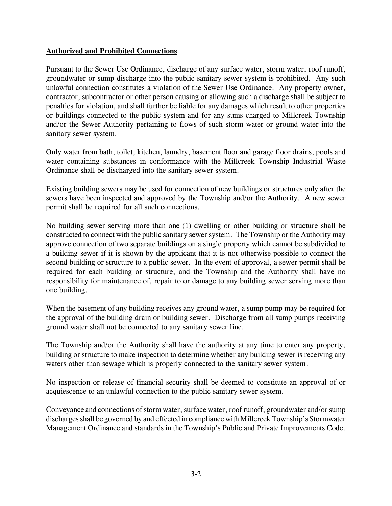## **Authorized and Prohibited Connections**

Pursuant to the Sewer Use Ordinance, discharge of any surface water, storm water, roof runoff, groundwater or sump discharge into the public sanitary sewer system is prohibited. Any such unlawful connection constitutes a violation of the Sewer Use Ordinance. Any property owner, contractor, subcontractor or other person causing or allowing such a discharge shall be subject to penalties for violation, and shall further be liable for any damages which result to other properties or buildings connected to the public system and for any sums charged to Millcreek Township and/or the Sewer Authority pertaining to flows of such storm water or ground water into the sanitary sewer system.

Only water from bath, toilet, kitchen, laundry, basement floor and garage floor drains, pools and water containing substances in conformance with the Millcreek Township Industrial Waste Ordinance shall be discharged into the sanitary sewer system.

Existing building sewers may be used for connection of new buildings or structures only after the sewers have been inspected and approved by the Township and/or the Authority. A new sewer permit shall be required for all such connections.

No building sewer serving more than one (1) dwelling or other building or structure shall be constructed to connect with the public sanitary sewer system. The Township or the Authority may approve connection of two separate buildings on a single property which cannot be subdivided to a building sewer if it is shown by the applicant that it is not otherwise possible to connect the second building or structure to a public sewer. In the event of approval, a sewer permit shall be required for each building or structure, and the Township and the Authority shall have no responsibility for maintenance of, repair to or damage to any building sewer serving more than one building.

When the basement of any building receives any ground water, a sump pump may be required for the approval of the building drain or building sewer. Discharge from all sump pumps receiving ground water shall not be connected to any sanitary sewer line.

The Township and/or the Authority shall have the authority at any time to enter any property, building or structure to make inspection to determine whether any building sewer is receiving any waters other than sewage which is properly connected to the sanitary sewer system.

No inspection or release of financial security shall be deemed to constitute an approval of or acquiescence to an unlawful connection to the public sanitary sewer system.

Conveyance and connections of storm water, surface water, roof runoff, groundwater and/or sump discharges shall be governed by and effected in compliance with Millcreek Township's Stormwater Management Ordinance and standards in the Township's Public and Private Improvements Code.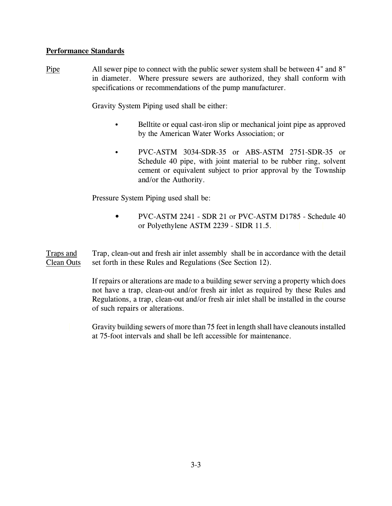## **Performance Standards**

Pipe All sewer pipe to connect with the public sewer system shall be between 4" and 8" in diameter. Where pressure sewers are authorized, they shall conform with specifications or recommendations of the pump manufacturer.

Gravity System Piping used shall be either:

- Belltite or equal cast-iron slip or mechanical joint pipe as approved by the American Water Works Association; or
- PVC-ASTM 3034-SDR-35 or ABS-ASTM 2751-SDR-35 or Schedule 40 pipe, with joint material to be rubber ring, solvent cement or equivalent subject to prior approval by the Township and/or the Authority.

Pressure System Piping used shall be:

• PVC-ASTM 2241 - SDR 21 or PVC-ASTM D1785 - Schedule 40 or Polyethylene ASTM 2239 - SIDR 11.5.

Traps and Trap, clean-out and fresh air inlet assembly shall be in accordance with the detail Clean Outs set forth in these Rules and Regulations (See Section 12).

> If repairs or alterations are made to a building sewer serving a property which does not have a trap, clean-out and/or fresh air inlet as required by these Rules and Regulations, a trap, clean-out and/or fresh air inlet shall be installed in the course of such repairs or alterations.

Gravity building sewers of more than 75 feet in length shall have cleanouts installed at 75-foot intervals and shall be left accessible for maintenance.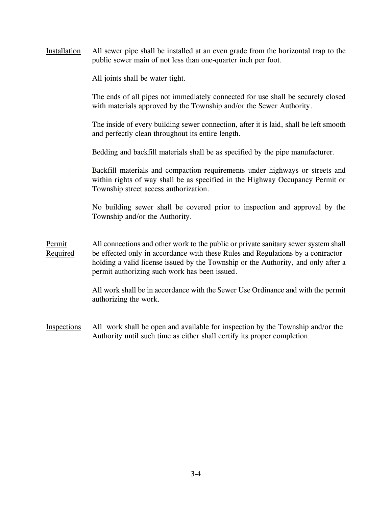Installation All sewer pipe shall be installed at an even grade from the horizontal trap to the public sewer main of not less than one-quarter inch per foot.

All joints shall be water tight.

The ends of all pipes not immediately connected for use shall be securely closed with materials approved by the Township and/or the Sewer Authority.

The inside of every building sewer connection, after it is laid, shall be left smooth and perfectly clean throughout its entire length.

Bedding and backfill materials shall be as specified by the pipe manufacturer.

Backfill materials and compaction requirements under highways or streets and within rights of way shall be as specified in the Highway Occupancy Permit or Township street access authorization.

No building sewer shall be covered prior to inspection and approval by the Township and/or the Authority.

Permit All connections and other work to the public or private sanitary sewer system shall Required be effected only in accordance with these Rules and Regulations by a contractor holding a valid license issued by the Township or the Authority, and only after a permit authorizing such work has been issued.

> All work shall be in accordance with the Sewer Use Ordinance and with the permit authorizing the work.

Inspections All work shall be open and available for inspection by the Township and/or the Authority until such time as either shall certify its proper completion.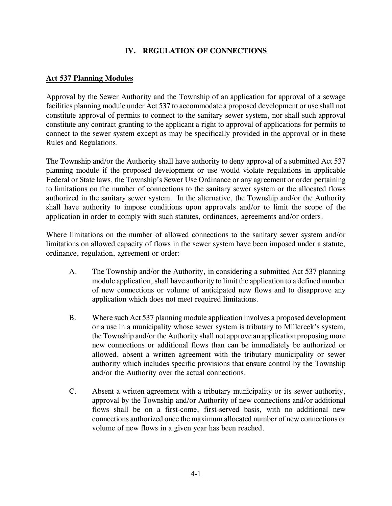## **IV. REGULATION OF CONNECTIONS**

#### **Act 537 Planning Modules**

Approval by the Sewer Authority and the Township of an application for approval of a sewage facilities planning module under Act 537 to accommodate a proposed development or use shall not constitute approval of permits to connect to the sanitary sewer system, nor shall such approval constitute any contract granting to the applicant a right to approval of applications for permits to connect to the sewer system except as may be specifically provided in the approval or in these Rules and Regulations.

The Township and/or the Authority shall have authority to deny approval of a submitted Act 537 planning module if the proposed development or use would violate regulations in applicable Federal or State laws, the Township's Sewer Use Ordinance or any agreement or order pertaining to limitations on the number of connections to the sanitary sewer system or the allocated flows authorized in the sanitary sewer system. In the alternative, the Township and/or the Authority shall have authority to impose conditions upon approvals and/or to limit the scope of the application in order to comply with such statutes, ordinances, agreements and/or orders.

Where limitations on the number of allowed connections to the sanitary sewer system and/or limitations on allowed capacity of flows in the sewer system have been imposed under a statute, ordinance, regulation, agreement or order:

- A. The Township and/or the Authority, in considering a submitted Act 537 planning module application, shall have authority to limit the application to a defined number of new connections or volume of anticipated new flows and to disapprove any application which does not meet required limitations.
- B. Where such Act 537 planning module application involves a proposed development or a use in a municipality whose sewer system is tributary to Millcreek's system, the Township and/or the Authority shall not approve an application proposing more new connections or additional flows than can be immediately be authorized or allowed, absent a written agreement with the tributary municipality or sewer authority which includes specific provisions that ensure control by the Township and/or the Authority over the actual connections.
- C. Absent a written agreement with a tributary municipality or its sewer authority, approval by the Township and/or Authority of new connections and/or additional flows shall be on a first-come, first-served basis, with no additional new connections authorized once the maximum allocated number of new connections or volume of new flows in a given year has been reached.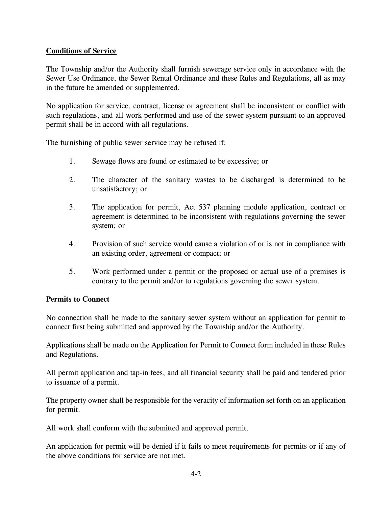## **Conditions of Service**

The Township and/or the Authority shall furnish sewerage service only in accordance with the Sewer Use Ordinance, the Sewer Rental Ordinance and these Rules and Regulations, all as may in the future be amended or supplemented.

No application for service, contract, license or agreement shall be inconsistent or conflict with such regulations, and all work performed and use of the sewer system pursuant to an approved permit shall be in accord with all regulations.

The furnishing of public sewer service may be refused if:

- 1. Sewage flows are found or estimated to be excessive; or
- 2. The character of the sanitary wastes to be discharged is determined to be unsatisfactory; or
- 3. The application for permit, Act 537 planning module application, contract or agreement is determined to be inconsistent with regulations governing the sewer system; or
- 4. Provision of such service would cause a violation of or is not in compliance with an existing order, agreement or compact; or
- 5. Work performed under a permit or the proposed or actual use of a premises is contrary to the permit and/or to regulations governing the sewer system.

## **Permits to Connect**

No connection shall be made to the sanitary sewer system without an application for permit to connect first being submitted and approved by the Township and/or the Authority.

Applications shall be made on the Application for Permit to Connect form included in these Rules and Regulations.

All permit application and tap-in fees, and all financial security shall be paid and tendered prior to issuance of a permit.

The property owner shall be responsible for the veracity of information set forth on an application for permit.

All work shall conform with the submitted and approved permit.

An application for permit will be denied if it fails to meet requirements for permits or if any of the above conditions for service are not met.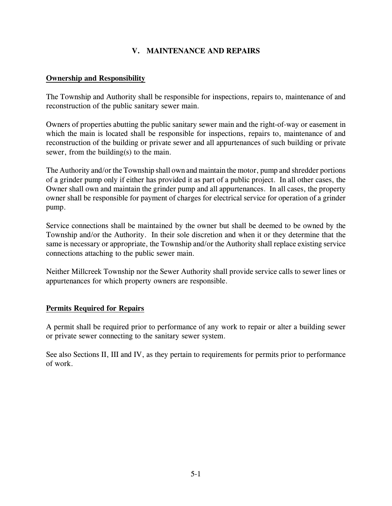## **V. MAINTENANCE AND REPAIRS**

#### **Ownership and Responsibility**

The Township and Authority shall be responsible for inspections, repairs to, maintenance of and reconstruction of the public sanitary sewer main.

Owners of properties abutting the public sanitary sewer main and the right-of-way or easement in which the main is located shall be responsible for inspections, repairs to, maintenance of and reconstruction of the building or private sewer and all appurtenances of such building or private sewer, from the building(s) to the main.

The Authority and/or the Township shall own and maintain the motor, pump and shredder portions of a grinder pump only if either has provided it as part of a public project. In all other cases, the Owner shall own and maintain the grinder pump and all appurtenances. In all cases, the property owner shall be responsible for payment of charges for electrical service for operation of a grinder pump.

Service connections shall be maintained by the owner but shall be deemed to be owned by the Township and/or the Authority. In their sole discretion and when it or they determine that the same is necessary or appropriate, the Township and/or the Authority shall replace existing service connections attaching to the public sewer main.

Neither Millcreek Township nor the Sewer Authority shall provide service calls to sewer lines or appurtenances for which property owners are responsible.

## **Permits Required for Repairs**

A permit shall be required prior to performance of any work to repair or alter a building sewer or private sewer connecting to the sanitary sewer system.

See also Sections II, III and IV, as they pertain to requirements for permits prior to performance of work.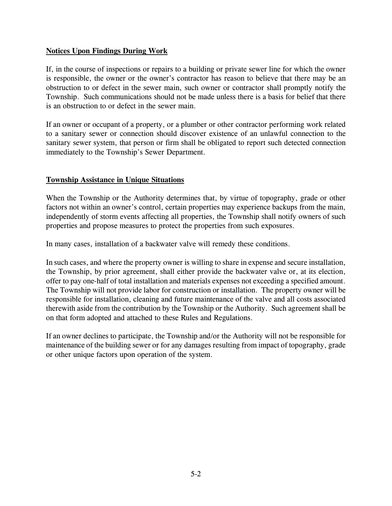## **Notices Upon Findings During Work**

If, in the course of inspections or repairs to a building or private sewer line for which the owner is responsible, the owner or the owner's contractor has reason to believe that there may be an obstruction to or defect in the sewer main, such owner or contractor shall promptly notify the Township. Such communications should not be made unless there is a basis for belief that there is an obstruction to or defect in the sewer main.

If an owner or occupant of a property, or a plumber or other contractor performing work related to a sanitary sewer or connection should discover existence of an unlawful connection to the sanitary sewer system, that person or firm shall be obligated to report such detected connection immediately to the Township's Sewer Department.

## **Township Assistance in Unique Situations**

When the Township or the Authority determines that, by virtue of topography, grade or other factors not within an owner's control, certain properties may experience backups from the main, independently of storm events affecting all properties, the Township shall notify owners of such properties and propose measures to protect the properties from such exposures.

In many cases, installation of a backwater valve will remedy these conditions.

In such cases, and where the property owner is willing to share in expense and secure installation, the Township, by prior agreement, shall either provide the backwater valve or, at its election, offer to pay one-half of total installation and materials expenses not exceeding a specified amount. The Township will not provide labor for construction or installation. The property owner will be responsible for installation, cleaning and future maintenance of the valve and all costs associated therewith aside from the contribution by the Township or the Authority. Such agreement shall be on that form adopted and attached to these Rules and Regulations.

If an owner declines to participate, the Township and/or the Authority will not be responsible for maintenance of the building sewer or for any damages resulting from impact of topography, grade or other unique factors upon operation of the system.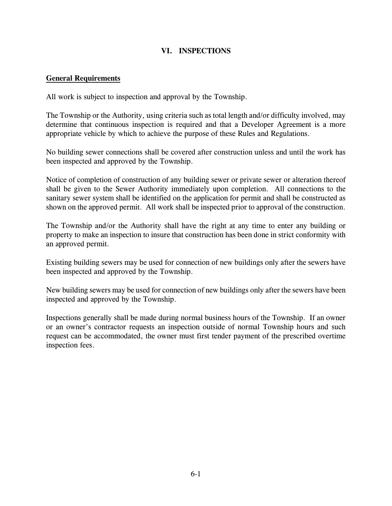## **VI. INSPECTIONS**

#### **General Requirements**

All work is subject to inspection and approval by the Township.

The Township or the Authority, using criteria such as total length and/or difficulty involved, may determine that continuous inspection is required and that a Developer Agreement is a more appropriate vehicle by which to achieve the purpose of these Rules and Regulations.

No building sewer connections shall be covered after construction unless and until the work has been inspected and approved by the Township.

Notice of completion of construction of any building sewer or private sewer or alteration thereof shall be given to the Sewer Authority immediately upon completion. All connections to the sanitary sewer system shall be identified on the application for permit and shall be constructed as shown on the approved permit. All work shall be inspected prior to approval of the construction.

The Township and/or the Authority shall have the right at any time to enter any building or property to make an inspection to insure that construction has been done in strict conformity with an approved permit.

Existing building sewers may be used for connection of new buildings only after the sewers have been inspected and approved by the Township.

New building sewers may be used for connection of new buildings only after the sewers have been inspected and approved by the Township.

Inspections generally shall be made during normal business hours of the Township. If an owner or an owner's contractor requests an inspection outside of normal Township hours and such request can be accommodated, the owner must first tender payment of the prescribed overtime inspection fees.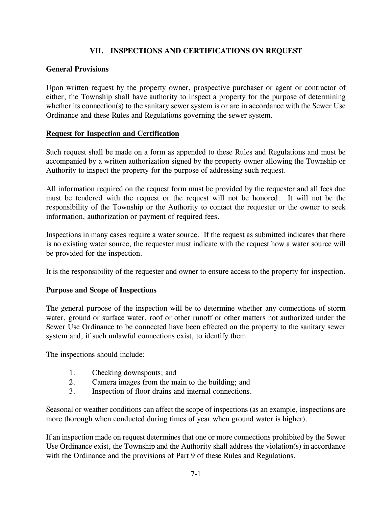## **VII. INSPECTIONS AND CERTIFICATIONS ON REQUEST**

## **General Provisions**

Upon written request by the property owner, prospective purchaser or agent or contractor of either, the Township shall have authority to inspect a property for the purpose of determining whether its connection(s) to the sanitary sewer system is or are in accordance with the Sewer Use Ordinance and these Rules and Regulations governing the sewer system.

## **Request for Inspection and Certification**

Such request shall be made on a form as appended to these Rules and Regulations and must be accompanied by a written authorization signed by the property owner allowing the Township or Authority to inspect the property for the purpose of addressing such request.

All information required on the request form must be provided by the requester and all fees due must be tendered with the request or the request will not be honored. It will not be the responsibility of the Township or the Authority to contact the requester or the owner to seek information, authorization or payment of required fees.

Inspections in many cases require a water source. If the request as submitted indicates that there is no existing water source, the requester must indicate with the request how a water source will be provided for the inspection.

It is the responsibility of the requester and owner to ensure access to the property for inspection.

## **Purpose and Scope of Inspections**

The general purpose of the inspection will be to determine whether any connections of storm water, ground or surface water, roof or other runoff or other matters not authorized under the Sewer Use Ordinance to be connected have been effected on the property to the sanitary sewer system and, if such unlawful connections exist, to identify them.

The inspections should include:

- 1. Checking downspouts; and
- 2. Camera images from the main to the building; and
- 3. Inspection of floor drains and internal connections.

Seasonal or weather conditions can affect the scope of inspections (as an example, inspections are more thorough when conducted during times of year when ground water is higher).

If an inspection made on request determines that one or more connections prohibited by the Sewer Use Ordinance exist, the Township and the Authority shall address the violation(s) in accordance with the Ordinance and the provisions of Part 9 of these Rules and Regulations.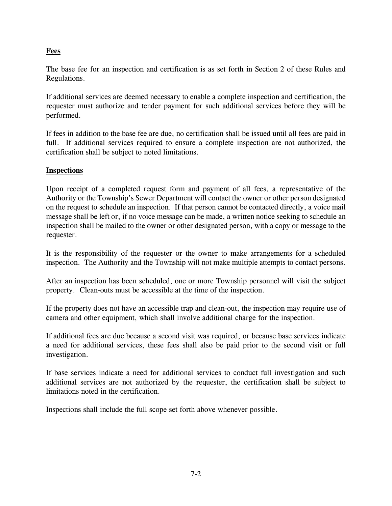## **Fees**

The base fee for an inspection and certification is as set forth in Section 2 of these Rules and Regulations.

If additional services are deemed necessary to enable a complete inspection and certification, the requester must authorize and tender payment for such additional services before they will be performed.

If fees in addition to the base fee are due, no certification shall be issued until all fees are paid in full. If additional services required to ensure a complete inspection are not authorized, the certification shall be subject to noted limitations.

## **Inspections**

Upon receipt of a completed request form and payment of all fees, a representative of the Authority or the Township's Sewer Department will contact the owner or other person designated on the request to schedule an inspection. If that person cannot be contacted directly, a voice mail message shall be left or, if no voice message can be made, a written notice seeking to schedule an inspection shall be mailed to the owner or other designated person, with a copy or message to the requester.

It is the responsibility of the requester or the owner to make arrangements for a scheduled inspection. The Authority and the Township will not make multiple attempts to contact persons.

After an inspection has been scheduled, one or more Township personnel will visit the subject property. Clean-outs must be accessible at the time of the inspection.

If the property does not have an accessible trap and clean-out, the inspection may require use of camera and other equipment, which shall involve additional charge for the inspection.

If additional fees are due because a second visit was required, or because base services indicate a need for additional services, these fees shall also be paid prior to the second visit or full investigation.

If base services indicate a need for additional services to conduct full investigation and such additional services are not authorized by the requester, the certification shall be subject to limitations noted in the certification.

Inspections shall include the full scope set forth above whenever possible.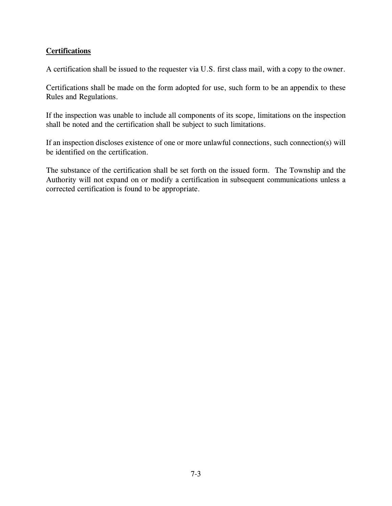## **Certifications**

A certification shall be issued to the requester via U.S. first class mail, with a copy to the owner.

Certifications shall be made on the form adopted for use, such form to be an appendix to these Rules and Regulations.

If the inspection was unable to include all components of its scope, limitations on the inspection shall be noted and the certification shall be subject to such limitations.

If an inspection discloses existence of one or more unlawful connections, such connection(s) will be identified on the certification.

The substance of the certification shall be set forth on the issued form. The Township and the Authority will not expand on or modify a certification in subsequent communications unless a corrected certification is found to be appropriate.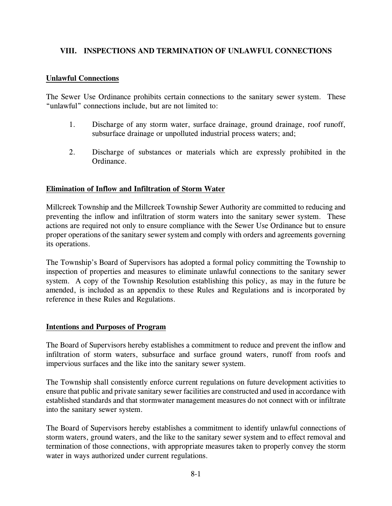## **VIII. INSPECTIONS AND TERMINATION OF UNLAWFUL CONNECTIONS**

#### **Unlawful Connections**

The Sewer Use Ordinance prohibits certain connections to the sanitary sewer system. These "unlawful" connections include, but are not limited to:

- 1. Discharge of any storm water, surface drainage, ground drainage, roof runoff, subsurface drainage or unpolluted industrial process waters; and;
- 2. Discharge of substances or materials which are expressly prohibited in the Ordinance.

#### **Elimination of Inflow and Infiltration of Storm Water**

Millcreek Township and the Millcreek Township Sewer Authority are committed to reducing and preventing the inflow and infiltration of storm waters into the sanitary sewer system. These actions are required not only to ensure compliance with the Sewer Use Ordinance but to ensure proper operations of the sanitary sewer system and comply with orders and agreements governing its operations.

The Township's Board of Supervisors has adopted a formal policy committing the Township to inspection of properties and measures to eliminate unlawful connections to the sanitary sewer system. A copy of the Township Resolution establishing this policy, as may in the future be amended, is included as an appendix to these Rules and Regulations and is incorporated by reference in these Rules and Regulations.

#### **Intentions and Purposes of Program**

The Board of Supervisors hereby establishes a commitment to reduce and prevent the inflow and infiltration of storm waters, subsurface and surface ground waters, runoff from roofs and impervious surfaces and the like into the sanitary sewer system.

The Township shall consistently enforce current regulations on future development activities to ensure that public and private sanitary sewer facilities are constructed and used in accordance with established standards and that stormwater management measures do not connect with or infiltrate into the sanitary sewer system.

The Board of Supervisors hereby establishes a commitment to identify unlawful connections of storm waters, ground waters, and the like to the sanitary sewer system and to effect removal and termination of those connections, with appropriate measures taken to properly convey the storm water in ways authorized under current regulations.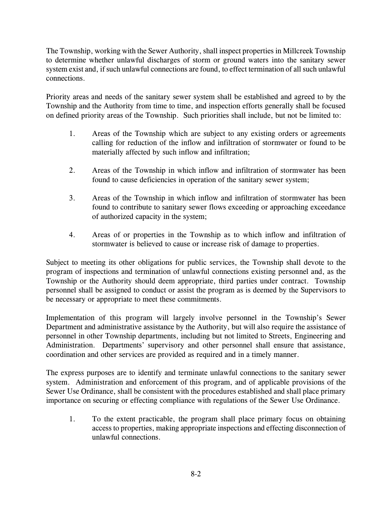The Township, working with the Sewer Authority, shall inspect properties in Millcreek Township to determine whether unlawful discharges of storm or ground waters into the sanitary sewer system exist and, if such unlawful connections are found, to effect termination of all such unlawful connections.

Priority areas and needs of the sanitary sewer system shall be established and agreed to by the Township and the Authority from time to time, and inspection efforts generally shall be focused on defined priority areas of the Township. Such priorities shall include, but not be limited to:

- 1. Areas of the Township which are subject to any existing orders or agreements calling for reduction of the inflow and infiltration of stormwater or found to be materially affected by such inflow and infiltration;
- 2. Areas of the Township in which inflow and infiltration of stormwater has been found to cause deficiencies in operation of the sanitary sewer system;
- 3. Areas of the Township in which inflow and infiltration of stormwater has been found to contribute to sanitary sewer flows exceeding or approaching exceedance of authorized capacity in the system;
- 4. Areas of or properties in the Township as to which inflow and infiltration of stormwater is believed to cause or increase risk of damage to properties.

Subject to meeting its other obligations for public services, the Township shall devote to the program of inspections and termination of unlawful connections existing personnel and, as the Township or the Authority should deem appropriate, third parties under contract. Township personnel shall be assigned to conduct or assist the program as is deemed by the Supervisors to be necessary or appropriate to meet these commitments.

Implementation of this program will largely involve personnel in the Township's Sewer Department and administrative assistance by the Authority, but will also require the assistance of personnel in other Township departments, including but not limited to Streets, Engineering and Administration. Departments' supervisory and other personnel shall ensure that assistance, coordination and other services are provided as required and in a timely manner.

The express purposes are to identify and terminate unlawful connections to the sanitary sewer system. Administration and enforcement of this program, and of applicable provisions of the Sewer Use Ordinance, shall be consistent with the procedures established and shall place primary importance on securing or effecting compliance with regulations of the Sewer Use Ordinance.

1. To the extent practicable, the program shall place primary focus on obtaining access to properties, making appropriate inspections and effecting disconnection of unlawful connections.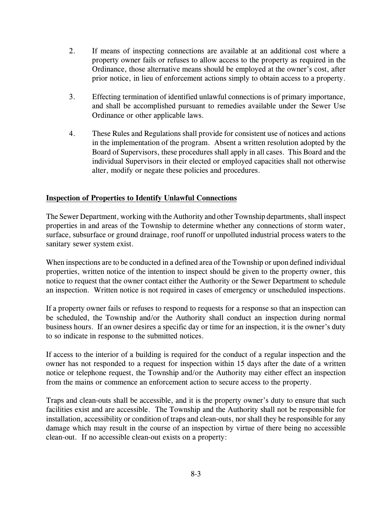- 2. If means of inspecting connections are available at an additional cost where a property owner fails or refuses to allow access to the property as required in the Ordinance, those alternative means should be employed at the owner's cost, after prior notice, in lieu of enforcement actions simply to obtain access to a property.
- 3. Effecting termination of identified unlawful connections is of primary importance, and shall be accomplished pursuant to remedies available under the Sewer Use Ordinance or other applicable laws.
- 4. These Rules and Regulations shall provide for consistent use of notices and actions in the implementation of the program. Absent a written resolution adopted by the Board of Supervisors, these procedures shall apply in all cases. This Board and the individual Supervisors in their elected or employed capacities shall not otherwise alter, modify or negate these policies and procedures.

## **Inspection of Properties to Identify Unlawful Connections**

The Sewer Department, working with the Authority and other Township departments, shall inspect properties in and areas of the Township to determine whether any connections of storm water, surface, subsurface or ground drainage, roof runoff or unpolluted industrial process waters to the sanitary sewer system exist.

When inspections are to be conducted in a defined area of the Township or upon defined individual properties, written notice of the intention to inspect should be given to the property owner, this notice to request that the owner contact either the Authority or the Sewer Department to schedule an inspection. Written notice is not required in cases of emergency or unscheduled inspections.

If a property owner fails or refuses to respond to requests for a response so that an inspection can be scheduled, the Township and/or the Authority shall conduct an inspection during normal business hours. If an owner desires a specific day or time for an inspection, it is the owner's duty to so indicate in response to the submitted notices.

If access to the interior of a building is required for the conduct of a regular inspection and the owner has not responded to a request for inspection within 15 days after the date of a written notice or telephone request, the Township and/or the Authority may either effect an inspection from the mains or commence an enforcement action to secure access to the property.

Traps and clean-outs shall be accessible, and it is the property owner's duty to ensure that such facilities exist and are accessible. The Township and the Authority shall not be responsible for installation, accessibility or condition of traps and clean-outs, nor shall they be responsible for any damage which may result in the course of an inspection by virtue of there being no accessible clean-out. If no accessible clean-out exists on a property: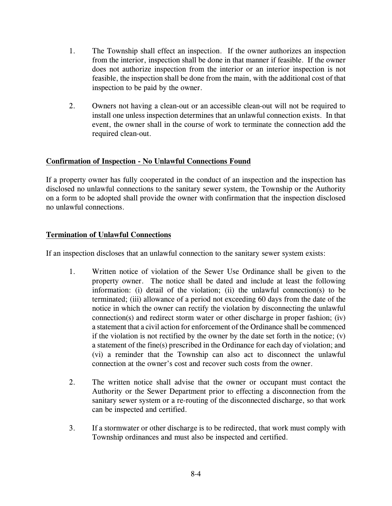- 1. The Township shall effect an inspection. If the owner authorizes an inspection from the interior, inspection shall be done in that manner if feasible. If the owner does not authorize inspection from the interior or an interior inspection is not feasible, the inspection shall be done from the main, with the additional cost of that inspection to be paid by the owner.
- 2. Owners not having a clean-out or an accessible clean-out will not be required to install one unless inspection determines that an unlawful connection exists. In that event, the owner shall in the course of work to terminate the connection add the required clean-out.

## **Confirmation of Inspection - No Unlawful Connections Found**

If a property owner has fully cooperated in the conduct of an inspection and the inspection has disclosed no unlawful connections to the sanitary sewer system, the Township or the Authority on a form to be adopted shall provide the owner with confirmation that the inspection disclosed no unlawful connections.

## **Termination of Unlawful Connections**

If an inspection discloses that an unlawful connection to the sanitary sewer system exists:

- 1. Written notice of violation of the Sewer Use Ordinance shall be given to the property owner. The notice shall be dated and include at least the following information: (i) detail of the violation; (ii) the unlawful connection(s) to be terminated; (iii) allowance of a period not exceeding 60 days from the date of the notice in which the owner can rectify the violation by disconnecting the unlawful connection(s) and redirect storm water or other discharge in proper fashion; (iv) a statement that a civil action for enforcement of the Ordinance shall be commenced if the violation is not rectified by the owner by the date set forth in the notice;  $(v)$ a statement of the fine(s) prescribed in the Ordinance for each day of violation; and (vi) a reminder that the Township can also act to disconnect the unlawful connection at the owner's cost and recover such costs from the owner.
- 2. The written notice shall advise that the owner or occupant must contact the Authority or the Sewer Department prior to effecting a disconnection from the sanitary sewer system or a re-routing of the disconnected discharge, so that work can be inspected and certified.
- 3. If a stormwater or other discharge is to be redirected, that work must comply with Township ordinances and must also be inspected and certified.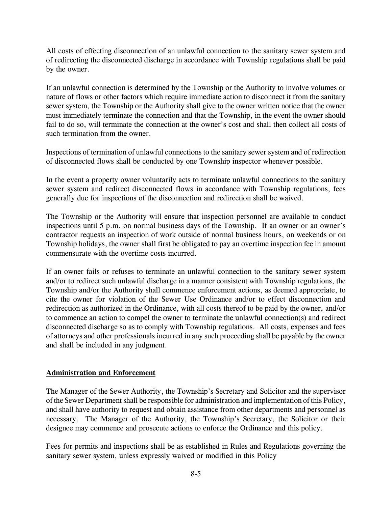All costs of effecting disconnection of an unlawful connection to the sanitary sewer system and of redirecting the disconnected discharge in accordance with Township regulations shall be paid by the owner.

If an unlawful connection is determined by the Township or the Authority to involve volumes or nature of flows or other factors which require immediate action to disconnect it from the sanitary sewer system, the Township or the Authority shall give to the owner written notice that the owner must immediately terminate the connection and that the Township, in the event the owner should fail to do so, will terminate the connection at the owner's cost and shall then collect all costs of such termination from the owner.

Inspections of termination of unlawful connections to the sanitary sewer system and of redirection of disconnected flows shall be conducted by one Township inspector whenever possible.

In the event a property owner voluntarily acts to terminate unlawful connections to the sanitary sewer system and redirect disconnected flows in accordance with Township regulations, fees generally due for inspections of the disconnection and redirection shall be waived.

The Township or the Authority will ensure that inspection personnel are available to conduct inspections until 5 p.m. on normal business days of the Township. If an owner or an owner's contractor requests an inspection of work outside of normal business hours, on weekends or on Township holidays, the owner shall first be obligated to pay an overtime inspection fee in amount commensurate with the overtime costs incurred.

If an owner fails or refuses to terminate an unlawful connection to the sanitary sewer system and/or to redirect such unlawful discharge in a manner consistent with Township regulations, the Township and/or the Authority shall commence enforcement actions, as deemed appropriate, to cite the owner for violation of the Sewer Use Ordinance and/or to effect disconnection and redirection as authorized in the Ordinance, with all costs thereof to be paid by the owner, and/or to commence an action to compel the owner to terminate the unlawful connection(s) and redirect disconnected discharge so as to comply with Township regulations. All costs, expenses and fees of attorneys and other professionals incurred in any such proceeding shall be payable by the owner and shall be included in any judgment.

## **Administration and Enforcement**

The Manager of the Sewer Authority, the Township's Secretary and Solicitor and the supervisor of the Sewer Department shall be responsible for administration and implementation of this Policy, and shall have authority to request and obtain assistance from other departments and personnel as necessary. The Manager of the Authority, the Township's Secretary, the Solicitor or their designee may commence and prosecute actions to enforce the Ordinance and this policy.

Fees for permits and inspections shall be as established in Rules and Regulations governing the sanitary sewer system, unless expressly waived or modified in this Policy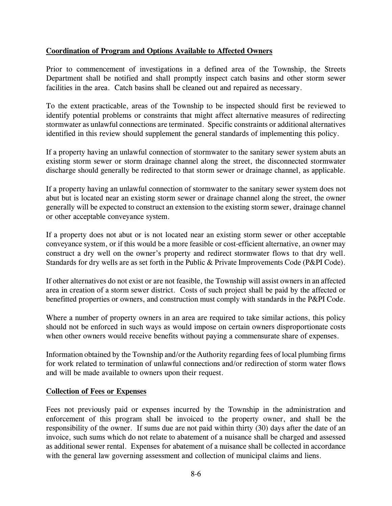## **Coordination of Program and Options Available to Affected Owners**

Prior to commencement of investigations in a defined area of the Township, the Streets Department shall be notified and shall promptly inspect catch basins and other storm sewer facilities in the area. Catch basins shall be cleaned out and repaired as necessary.

To the extent practicable, areas of the Township to be inspected should first be reviewed to identify potential problems or constraints that might affect alternative measures of redirecting stormwater as unlawful connections are terminated. Specific constraints or additional alternatives identified in this review should supplement the general standards of implementing this policy.

If a property having an unlawful connection of stormwater to the sanitary sewer system abuts an existing storm sewer or storm drainage channel along the street, the disconnected stormwater discharge should generally be redirected to that storm sewer or drainage channel, as applicable.

If a property having an unlawful connection of stormwater to the sanitary sewer system does not abut but is located near an existing storm sewer or drainage channel along the street, the owner generally will be expected to construct an extension to the existing storm sewer, drainage channel or other acceptable conveyance system.

If a property does not abut or is not located near an existing storm sewer or other acceptable conveyance system, or if this would be a more feasible or cost-efficient alternative, an owner may construct a dry well on the owner's property and redirect stormwater flows to that dry well. Standards for dry wells are as set forth in the Public & Private Improvements Code (P&PI Code).

If other alternatives do not exist or are not feasible, the Township will assist owners in an affected area in creation of a storm sewer district. Costs of such project shall be paid by the affected or benefitted properties or owners, and construction must comply with standards in the P&PI Code.

Where a number of property owners in an area are required to take similar actions, this policy should not be enforced in such ways as would impose on certain owners disproportionate costs when other owners would receive benefits without paying a commensurate share of expenses.

Information obtained by the Township and/or the Authority regarding fees of local plumbing firms for work related to termination of unlawful connections and/or redirection of storm water flows and will be made available to owners upon their request.

## **Collection of Fees or Expenses**

Fees not previously paid or expenses incurred by the Township in the administration and enforcement of this program shall be invoiced to the property owner, and shall be the responsibility of the owner. If sums due are not paid within thirty (30) days after the date of an invoice, such sums which do not relate to abatement of a nuisance shall be charged and assessed as additional sewer rental. Expenses for abatement of a nuisance shall be collected in accordance with the general law governing assessment and collection of municipal claims and liens.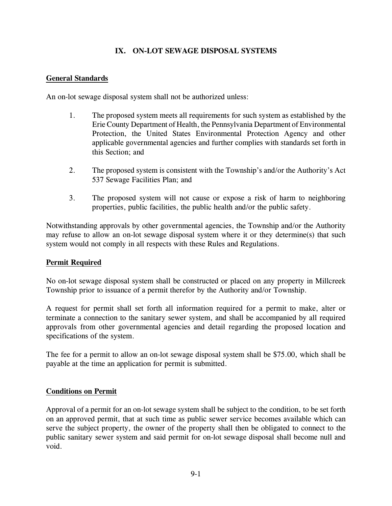## **IX. ON-LOT SEWAGE DISPOSAL SYSTEMS**

## **General Standards**

An on-lot sewage disposal system shall not be authorized unless:

- 1. The proposed system meets all requirements for such system as established by the Erie County Department of Health, the Pennsylvania Department of Environmental Protection, the United States Environmental Protection Agency and other applicable governmental agencies and further complies with standards set forth in this Section; and
- 2. The proposed system is consistent with the Township's and/or the Authority's Act 537 Sewage Facilities Plan; and
- 3. The proposed system will not cause or expose a risk of harm to neighboring properties, public facilities, the public health and/or the public safety.

Notwithstanding approvals by other governmental agencies, the Township and/or the Authority may refuse to allow an on-lot sewage disposal system where it or they determine(s) that such system would not comply in all respects with these Rules and Regulations.

## **Permit Required**

No on-lot sewage disposal system shall be constructed or placed on any property in Millcreek Township prior to issuance of a permit therefor by the Authority and/or Township.

A request for permit shall set forth all information required for a permit to make, alter or terminate a connection to the sanitary sewer system, and shall be accompanied by all required approvals from other governmental agencies and detail regarding the proposed location and specifications of the system.

The fee for a permit to allow an on-lot sewage disposal system shall be \$75.00, which shall be payable at the time an application for permit is submitted.

## **Conditions on Permit**

Approval of a permit for an on-lot sewage system shall be subject to the condition, to be set forth on an approved permit, that at such time as public sewer service becomes available which can serve the subject property, the owner of the property shall then be obligated to connect to the public sanitary sewer system and said permit for on-lot sewage disposal shall become null and void.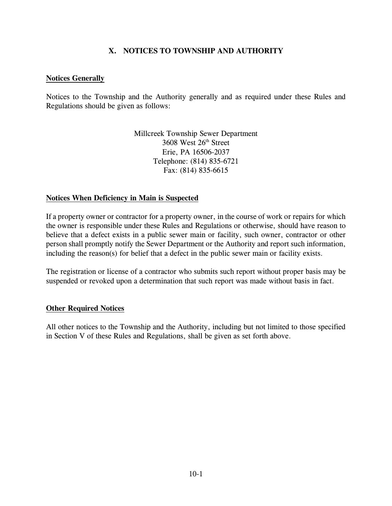## **X. NOTICES TO TOWNSHIP AND AUTHORITY**

#### **Notices Generally**

Notices to the Township and the Authority generally and as required under these Rules and Regulations should be given as follows:

> Millcreek Township Sewer Department 3608 West 26<sup>th</sup> Street Erie, PA 16506-2037 Telephone: (814) 835-6721 Fax: (814) 835-6615

#### **Notices When Deficiency in Main is Suspected**

If a property owner or contractor for a property owner, in the course of work or repairs for which the owner is responsible under these Rules and Regulations or otherwise, should have reason to believe that a defect exists in a public sewer main or facility, such owner, contractor or other person shall promptly notify the Sewer Department or the Authority and report such information, including the reason(s) for belief that a defect in the public sewer main or facility exists.

The registration or license of a contractor who submits such report without proper basis may be suspended or revoked upon a determination that such report was made without basis in fact.

#### **Other Required Notices**

All other notices to the Township and the Authority, including but not limited to those specified in Section V of these Rules and Regulations, shall be given as set forth above.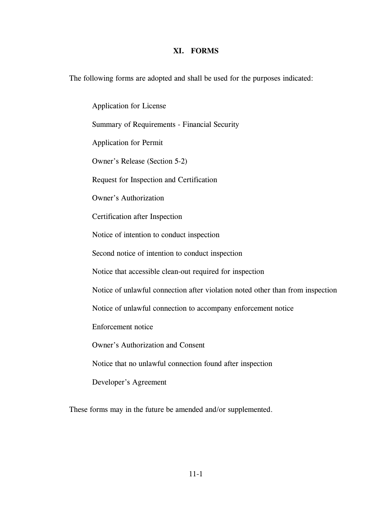#### **XI. FORMS**

The following forms are adopted and shall be used for the purposes indicated:

Application for License Summary of Requirements - Financial Security Application for Permit Owner's Release (Section 5-2) Request for Inspection and Certification Owner's Authorization Certification after Inspection Notice of intention to conduct inspection Second notice of intention to conduct inspection Notice that accessible clean-out required for inspection Notice of unlawful connection after violation noted other than from inspection Notice of unlawful connection to accompany enforcement notice Enforcement notice Owner's Authorization and Consent Notice that no unlawful connection found after inspection Developer's Agreement

These forms may in the future be amended and/or supplemented.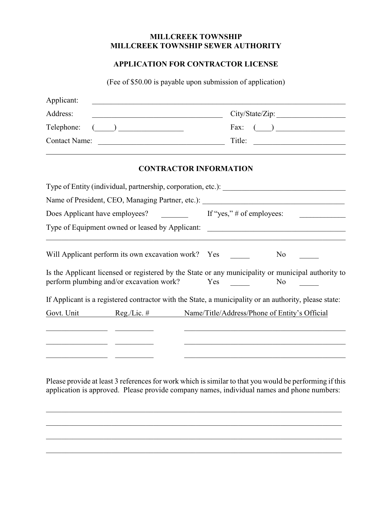#### **MILLCREEK TOWNSHIP MILLCREEK TOWNSHIP SEWER AUTHORITY**

## **APPLICATION FOR CONTRACTOR LICENSE**

(Fee of \$50.00 is payable upon submission of application)

| Applicant:                                                     |                                                                                                                                                                                                         |  |                               |                                                                                                                      |  |
|----------------------------------------------------------------|---------------------------------------------------------------------------------------------------------------------------------------------------------------------------------------------------------|--|-------------------------------|----------------------------------------------------------------------------------------------------------------------|--|
| Address:                                                       | <u> 1989 - Johann Barbara, martin amerikan basar dan berasal dalam basar dalam basar dalam basar dalam basar dala</u>                                                                                   |  |                               | City/State/Zip:                                                                                                      |  |
| Telephone:                                                     | $\begin{tabular}{ c c c c } \hline \quad \quad & \quad \quad & \quad \quad \\ \hline \quad \quad & \quad \quad & \quad \quad \\ \hline \quad \quad & \quad \quad & \quad \quad \\ \hline \end{tabular}$ |  |                               | Fax: $($                                                                                                             |  |
| <b>Contact Name:</b>                                           | <u> Alexandria (Carlo Carlo Carlo Carlo Carlo Carlo Carlo Carlo Carlo Carlo Carlo Carlo Carlo Carlo Carlo Carlo C</u>                                                                                   |  | Title:                        |                                                                                                                      |  |
|                                                                |                                                                                                                                                                                                         |  | <b>CONTRACTOR INFORMATION</b> |                                                                                                                      |  |
|                                                                |                                                                                                                                                                                                         |  |                               |                                                                                                                      |  |
|                                                                |                                                                                                                                                                                                         |  |                               |                                                                                                                      |  |
| If "yes," $\#$ of employees:<br>Does Applicant have employees? |                                                                                                                                                                                                         |  |                               |                                                                                                                      |  |
|                                                                |                                                                                                                                                                                                         |  |                               | Type of Equipment owned or leased by Applicant: _________________________________                                    |  |
|                                                                | Will Applicant perform its own excavation work? Yes                                                                                                                                                     |  |                               | N <sub>0</sub>                                                                                                       |  |
|                                                                | perform plumbing and/or excavation work?                                                                                                                                                                |  | Yes                           | Is the Applicant licensed or registered by the State or any municipality or municipal authority to<br>N <sub>0</sub> |  |
|                                                                |                                                                                                                                                                                                         |  |                               | If Applicant is a registered contractor with the State, a municipality or an authority, please state:                |  |
| Govt. Unit                                                     | $Reg./Lie.$ #                                                                                                                                                                                           |  |                               | Name/Title/Address/Phone of Entity's Official                                                                        |  |
|                                                                |                                                                                                                                                                                                         |  |                               |                                                                                                                      |  |
|                                                                |                                                                                                                                                                                                         |  |                               |                                                                                                                      |  |
|                                                                |                                                                                                                                                                                                         |  |                               |                                                                                                                      |  |

Please provide at least 3 references for work which is similar to that you would be performing if this application is approved. Please provide company names, individual names and phone numbers:

\_\_\_\_\_\_\_\_\_\_\_\_\_\_\_\_\_\_\_\_\_\_\_\_\_\_\_\_\_\_\_\_\_\_\_\_\_\_\_\_\_\_\_\_\_\_\_\_\_\_\_\_\_\_\_\_\_\_\_\_\_\_\_\_\_\_\_\_\_\_\_\_\_\_\_\_\_

\_\_\_\_\_\_\_\_\_\_\_\_\_\_\_\_\_\_\_\_\_\_\_\_\_\_\_\_\_\_\_\_\_\_\_\_\_\_\_\_\_\_\_\_\_\_\_\_\_\_\_\_\_\_\_\_\_\_\_\_\_\_\_\_\_\_\_\_\_\_\_\_\_\_\_\_\_

\_\_\_\_\_\_\_\_\_\_\_\_\_\_\_\_\_\_\_\_\_\_\_\_\_\_\_\_\_\_\_\_\_\_\_\_\_\_\_\_\_\_\_\_\_\_\_\_\_\_\_\_\_\_\_\_\_\_\_\_\_\_\_\_\_\_\_\_\_\_\_\_\_\_\_\_\_

\_\_\_\_\_\_\_\_\_\_\_\_\_\_\_\_\_\_\_\_\_\_\_\_\_\_\_\_\_\_\_\_\_\_\_\_\_\_\_\_\_\_\_\_\_\_\_\_\_\_\_\_\_\_\_\_\_\_\_\_\_\_\_\_\_\_\_\_\_\_\_\_\_\_\_\_\_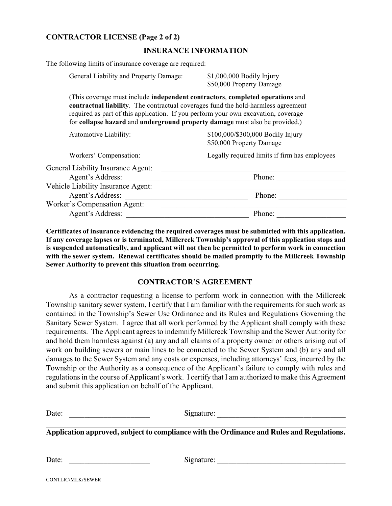#### **CONTRACTOR LICENSE (Page 2 of 2)**

#### **INSURANCE INFORMATION**

The following limits of insurance coverage are required:

General Liability and Property Damage: \$1,000,000 Bodily Injury

\$50,000 Property Damage

(This coverage must include **independent contractors**, **completed operations** and **contractual liability**. The contractual coverages fund the hold-harmless agreement required as part of this application. If you perform your own excavation, coverage for **collapse hazard** and **underground property damage** must also be provided.)

| Automotive Liability:                     | \$100,000/\$300,000 Bodily Injury<br>\$50,000 Property Damage |
|-------------------------------------------|---------------------------------------------------------------|
| Workers' Compensation:                    | Legally required limits if firm has employees                 |
| <b>General Liability Insurance Agent:</b> |                                                               |
| Agent's Address:                          | Phone:                                                        |
| Vehicle Liability Insurance Agent:        |                                                               |
| Agent's Address:                          | Phone:                                                        |
| <b>Worker's Compensation Agent:</b>       |                                                               |
| Agent's Address:                          | Phone:                                                        |
|                                           |                                                               |

**Certificates of insurance evidencing the required coverages must be submitted with this application. If any coverage lapses or is terminated, Millcreek Township's approval of this application stops and is suspended automatically, and applicant will not then be permitted to perform work in connection with the sewer system. Renewal certificates should be mailed promptly to the Millcreek Township Sewer Authority to prevent this situation from occurring.**

#### **CONTRACTOR'S AGREEMENT**

As a contractor requesting a license to perform work in connection with the Millcreek Township sanitary sewer system, I certify that I am familiar with the requirements for such work as contained in the Township's Sewer Use Ordinance and its Rules and Regulations Governing the Sanitary Sewer System. I agree that all work performed by the Applicant shall comply with these requirements. The Applicant agrees to indemnify Millcreek Township and the Sewer Authority for and hold them harmless against (a) any and all claims of a property owner or others arising out of work on building sewers or main lines to be connected to the Sewer System and (b) any and all damages to the Sewer System and any costs or expenses, including attorneys' fees, incurred by the Township or the Authority as a consequence of the Applicant's failure to comply with rules and regulations in the course of Applicant's work. I certify that I am authorized to make this Agreement and submit this application on behalf of the Applicant.

Signature:

**Application approved, subject to compliance with the Ordinance and Rules and Regulations.**

Date: \_\_\_\_\_\_\_\_\_\_\_\_\_\_\_\_\_\_\_\_\_ Signature: \_\_\_\_\_\_\_\_\_\_\_\_\_\_\_\_\_\_\_\_\_\_\_\_\_\_\_\_\_\_\_\_\_\_

CONTLIC/MLK/SEWER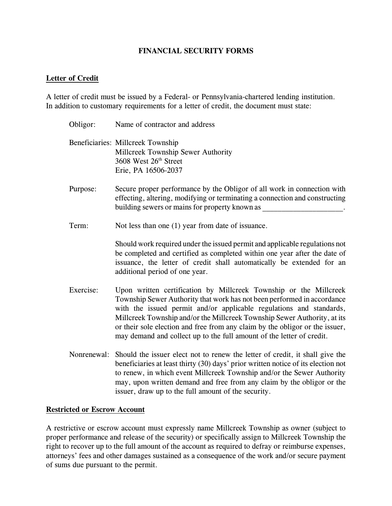#### **FINANCIAL SECURITY FORMS**

#### **Letter of Credit**

A letter of credit must be issued by a Federal- or Pennsylvania-chartered lending institution. In addition to customary requirements for a letter of credit, the document must state:

- Obligor: Name of contractor and address Beneficiaries: Millcreek Township Millcreek Township Sewer Authority 3608 West  $26<sup>th</sup>$  Street Erie, PA 16506-2037 Purpose: Secure proper performance by the Obligor of all work in connection with effecting, altering, modifying or terminating a connection and constructing building sewers or mains for property known as Term: Not less than one (1) year from date of issuance. Should work required under the issued permit and applicable regulations not be completed and certified as completed within one year after the date of issuance, the letter of credit shall automatically be extended for an additional period of one year. Exercise: Upon written certification by Millcreek Township or the Millcreek Township Sewer Authority that work has not been performed in accordance with the issued permit and/or applicable regulations and standards, Millcreek Township and/or the Millcreek Township Sewer Authority, at its or their sole election and free from any claim by the obligor or the issuer, may demand and collect up to the full amount of the letter of credit.
- Nonrenewal: Should the issuer elect not to renew the letter of credit, it shall give the beneficiaries at least thirty (30) days' prior written notice of its election not to renew, in which event Millcreek Township and/or the Sewer Authority may, upon written demand and free from any claim by the obligor or the issuer, draw up to the full amount of the security.

#### **Restricted or Escrow Account**

A restrictive or escrow account must expressly name Millcreek Township as owner (subject to proper performance and release of the security) or specifically assign to Millcreek Township the right to recover up to the full amount of the account as required to defray or reimburse expenses, attorneys' fees and other damages sustained as a consequence of the work and/or secure payment of sums due pursuant to the permit.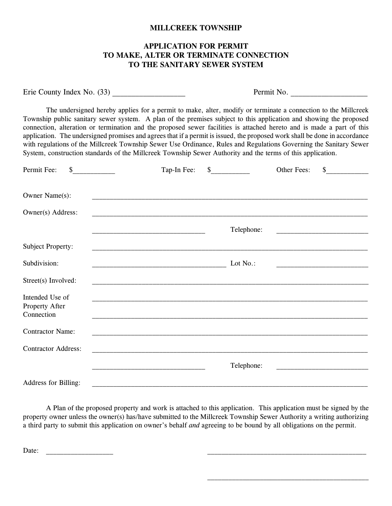#### **MILLCREEK TOWNSHIP**

#### **APPLICATION FOR PERMIT TO MAKE, ALTER OR TERMINATE CONNECTION TO THE SANITARY SEWER SYSTEM**

Erie County Index No. (33) \_\_\_\_\_\_\_\_\_\_\_\_\_\_\_\_\_\_\_ Permit No. \_\_\_\_\_\_\_\_\_\_\_\_\_\_\_\_\_\_\_\_

The undersigned hereby applies for a permit to make, alter, modify or terminate a connection to the Millcreek Township public sanitary sewer system. A plan of the premises subject to this application and showing the proposed connection, alteration or termination and the proposed sewer facilities is attached hereto and is made a part of this application. The undersigned promises and agrees that if a permit is issued, the proposed work shall be done in accordance with regulations of the Millcreek Township Sewer Use Ordinance, Rules and Regulations Governing the Sanitary Sewer System, construction standards of the Millcreek Township Sewer Authority and the terms of this application.

| Permit Fee:<br>\$                                                                                                                                                                                                                                            | Tap-In Fee: | \$         | Other Fees: | $\mathbb{S}$ |
|--------------------------------------------------------------------------------------------------------------------------------------------------------------------------------------------------------------------------------------------------------------|-------------|------------|-------------|--------------|
|                                                                                                                                                                                                                                                              |             |            |             |              |
| Owner Name(s):                                                                                                                                                                                                                                               |             |            |             |              |
| Owner(s) Address:                                                                                                                                                                                                                                            |             |            |             |              |
| <u> 1989 - Johann John Stone, mars eta biztanleria (h. 1989).</u>                                                                                                                                                                                            |             | Telephone: |             |              |
| Subject Property:                                                                                                                                                                                                                                            |             |            |             |              |
| Subdivision:                                                                                                                                                                                                                                                 |             | Lot No.:   |             |              |
| Street(s) Involved:                                                                                                                                                                                                                                          |             |            |             |              |
| Intended Use of<br><u> 1989 - Johann Stoff, deutscher Stoff, der Stoff, der Stoff, der Stoff, der Stoff, der Stoff, der Stoff, der S</u><br>Property After<br>Connection<br>,我们也不能在这里,我们也不能会在这里,我们也不能会不能会不能会不能会不能会不能会不能会。""我们的人们,我们也不能会不能会不能会不能会不能会不能会不能会不能会 |             |            |             |              |
| <b>Contractor Name:</b>                                                                                                                                                                                                                                      |             |            |             |              |
| <b>Contractor Address:</b>                                                                                                                                                                                                                                   |             |            |             |              |
|                                                                                                                                                                                                                                                              |             | Telephone: |             |              |
| <b>Address for Billing:</b>                                                                                                                                                                                                                                  |             |            |             |              |

A Plan of the proposed property and work is attached to this application. This application must be signed by the property owner unless the owner(s) has/have submitted to the Millcreek Township Sewer Authority a writing authorizing a third party to submit this application on owner's behalf *and* agreeing to be bound by all obligations on the permit.

Date: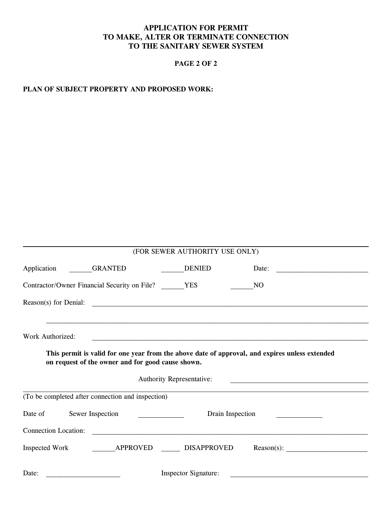## **APPLICATION FOR PERMIT TO MAKE, ALTER OR TERMINATE CONNECTION TO THE SANITARY SEWER SYSTEM**

## **PAGE 2 OF 2**

#### **PLAN OF SUBJECT PROPERTY AND PROPOSED WORK:**

| (FOR SEWER AUTHORITY USE ONLY)                                                                                                                                                  |  |  |  |  |  |
|---------------------------------------------------------------------------------------------------------------------------------------------------------------------------------|--|--|--|--|--|
| Application<br><b>GRANTED</b><br><b>DENIED</b><br>Date:<br><u> 2000 - 2000 - 2000 - 2000 - 2000 - 2000 - 2000 - 2000 - 2000 - 2000 - 2000 - 2000 - 2000 - 2000 - 2000 - 200</u> |  |  |  |  |  |
| Contractor/Owner Financial Security on File? YES<br>NQ                                                                                                                          |  |  |  |  |  |
| Reason(s) for Denial:<br><u> 1989 - Jan Bernard Bernard, mars and de fin de fin de fin de fin de fin de fin de fin de fin de fin de fin d</u>                                   |  |  |  |  |  |
| Work Authorized:<br>This permit is valid for one year from the above date of approval, and expires unless extended<br>on request of the owner and for good cause shown.         |  |  |  |  |  |
| <b>Authority Representative:</b><br><u> 1989 - Johann Stein, marwolaethau a bhann an t-Amhainn an t-Amhainn an t-Amhainn an t-Amhainn an t-Amhainn an</u>                       |  |  |  |  |  |
| (To be completed after connection and inspection)                                                                                                                               |  |  |  |  |  |
| Sewer Inspection<br>Date of<br>Drain Inspection                                                                                                                                 |  |  |  |  |  |
| <b>Connection Location:</b>                                                                                                                                                     |  |  |  |  |  |
| $Reason(s)$ :<br>Inspected Work APPROVED DISAPPROVED                                                                                                                            |  |  |  |  |  |
| <b>Inspector Signature:</b><br>Date:                                                                                                                                            |  |  |  |  |  |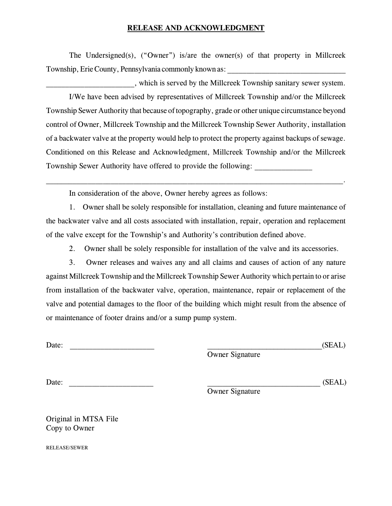#### **RELEASE AND ACKNOWLEDGMENT**

The Undersigned(s), ("Owner") is/are the owner(s) of that property in Millcreek Township, Erie County, Pennsylvania commonly known as:

\_\_\_\_\_\_\_\_\_\_\_\_\_\_\_\_\_\_\_\_\_\_\_, which is served by the Millcreek Township sanitary sewer system. I/We have been advised by representatives of Millcreek Township and/or the Millcreek Township Sewer Authority that because of topography, grade or other unique circumstance beyond control of Owner, Millcreek Township and the Millcreek Township Sewer Authority, installation of a backwater valve at the property would help to protect the property against backups of sewage. Conditioned on this Release and Acknowledgment, Millcreek Township and/or the Millcreek Township Sewer Authority have offered to provide the following:

In consideration of the above, Owner hereby agrees as follows:

1. Owner shall be solely responsible for installation, cleaning and future maintenance of the backwater valve and all costs associated with installation, repair, operation and replacement of the valve except for the Township's and Authority's contribution defined above.

 $\mathcal{L}_\mathcal{L} = \mathcal{L}_\mathcal{L} = \mathcal{L}_\mathcal{L} = \mathcal{L}_\mathcal{L} = \mathcal{L}_\mathcal{L} = \mathcal{L}_\mathcal{L} = \mathcal{L}_\mathcal{L} = \mathcal{L}_\mathcal{L} = \mathcal{L}_\mathcal{L} = \mathcal{L}_\mathcal{L} = \mathcal{L}_\mathcal{L} = \mathcal{L}_\mathcal{L} = \mathcal{L}_\mathcal{L} = \mathcal{L}_\mathcal{L} = \mathcal{L}_\mathcal{L} = \mathcal{L}_\mathcal{L} = \mathcal{L}_\mathcal{L}$ 

2. Owner shall be solely responsible for installation of the valve and its accessories.

3. Owner releases and waives any and all claims and causes of action of any nature against Millcreek Township and the Millcreek Township Sewer Authority which pertain to or arise from installation of the backwater valve, operation, maintenance, repair or replacement of the valve and potential damages to the floor of the building which might result from the absence of or maintenance of footer drains and/or a sump pump system.

Date: \_\_\_\_\_\_\_\_\_\_\_\_\_\_\_\_\_\_\_\_\_\_ \_\_\_\_\_\_\_\_\_\_\_\_\_\_\_\_\_\_\_\_\_\_\_\_\_\_\_\_\_\_\_(SEAL)

Owner Signature

Date: \_\_\_\_\_\_\_\_\_\_\_\_\_\_\_\_\_\_\_\_\_\_ \_\_\_\_\_\_\_\_\_\_\_\_\_\_\_\_\_\_\_\_\_\_\_\_\_\_\_\_\_\_ (SEAL)

Owner Signature

Original in MTSA File Copy to Owner

RELEASE/SEWER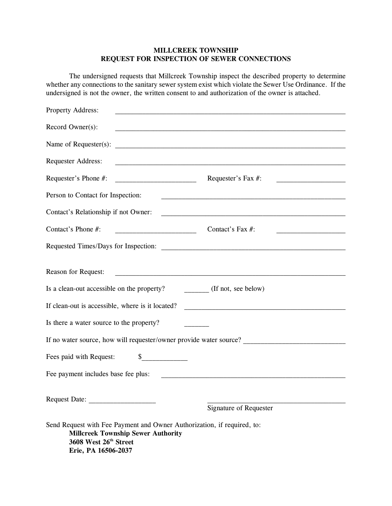#### **MILLCREEK TOWNSHIP REQUEST FOR INSPECTION OF SEWER CONNECTIONS**

The undersigned requests that Millcreek Township inspect the described property to determine whether any connections to the sanitary sewer system exist which violate the Sewer Use Ordinance. If the undersigned is not the owner, the written consent to and authorization of the owner is attached.

| Property Address:                                                                                                                                                    | <u> 1980 - An Dùbhlachd ann an Dùbhlachd ann an Dùbhlachd ann an Dùbhlachd ann an Dùbhlachd ann an Dùbhlachd ann </u> |
|----------------------------------------------------------------------------------------------------------------------------------------------------------------------|-----------------------------------------------------------------------------------------------------------------------|
| Record Owner(s):                                                                                                                                                     | and the control of the control of the control of the control of the control of the control of the control of the      |
|                                                                                                                                                                      |                                                                                                                       |
| Requester Address:                                                                                                                                                   |                                                                                                                       |
| Requester's Phone #:                                                                                                                                                 | Requester's Fax #:                                                                                                    |
| Person to Contact for Inspection:                                                                                                                                    | <u> 1989 - Johann John Stein, mars an deus Frankryk († 1958)</u>                                                      |
| Contact's Relationship if not Owner:                                                                                                                                 |                                                                                                                       |
| Contact's Phone #:                                                                                                                                                   | Contact's Fax $#$ :                                                                                                   |
|                                                                                                                                                                      |                                                                                                                       |
| Reason for Request:                                                                                                                                                  |                                                                                                                       |
| Is a clean-out accessible on the property?                                                                                                                           | (If not, see below)                                                                                                   |
| If clean-out is accessible, where is it located?                                                                                                                     |                                                                                                                       |
| Is there a water source to the property?                                                                                                                             |                                                                                                                       |
|                                                                                                                                                                      |                                                                                                                       |
| Fees paid with Request:<br>$\frac{1}{2}$                                                                                                                             |                                                                                                                       |
| Fee payment includes base fee plus:                                                                                                                                  |                                                                                                                       |
|                                                                                                                                                                      |                                                                                                                       |
| Request Date:                                                                                                                                                        | <b>Signature of Requester</b>                                                                                         |
| Send Request with Fee Payment and Owner Authorization, if required, to:<br><b>Millcreek Township Sewer Authority</b><br>3608 West 26th Street<br>Erie, PA 16506-2037 |                                                                                                                       |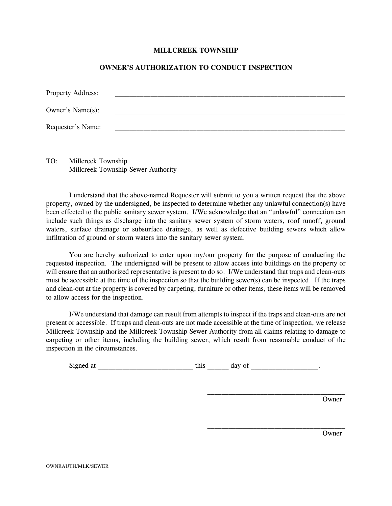#### **MILLCREEK TOWNSHIP**

#### **OWNER'S AUTHORIZATION TO CONDUCT INSPECTION**

| <b>Property Address:</b> |  |  |  |
|--------------------------|--|--|--|
| Owner's Name(s):         |  |  |  |
| Requester's Name:        |  |  |  |

TO: Millcreek Township Millcreek Township Sewer Authority

I understand that the above-named Requester will submit to you a written request that the above property, owned by the undersigned, be inspected to determine whether any unlawful connection(s) have been effected to the public sanitary sewer system. I/We acknowledge that an "unlawful" connection can include such things as discharge into the sanitary sewer system of storm waters, roof runoff, ground waters, surface drainage or subsurface drainage, as well as defective building sewers which allow infiltration of ground or storm waters into the sanitary sewer system.

You are hereby authorized to enter upon my/our property for the purpose of conducting the requested inspection. The undersigned will be present to allow access into buildings on the property or will ensure that an authorized representative is present to do so. I/We understand that traps and clean-outs must be accessible at the time of the inspection so that the building sewer(s) can be inspected. If the traps and clean-out at the property is covered by carpeting, furniture or other items, these items will be removed to allow access for the inspection.

I/We understand that damage can result from attempts to inspect if the traps and clean-outs are not present or accessible. If traps and clean-outs are not made accessible at the time of inspection, we release Millcreek Township and the Millcreek Township Sewer Authority from all claims relating to damage to carpeting or other items, including the building sewer, which result from reasonable conduct of the inspection in the circumstances.

| Signe<br>mec<br>aι | ''' | 71 V |  |
|--------------------|-----|------|--|
|                    |     |      |  |

Owner

**Owner**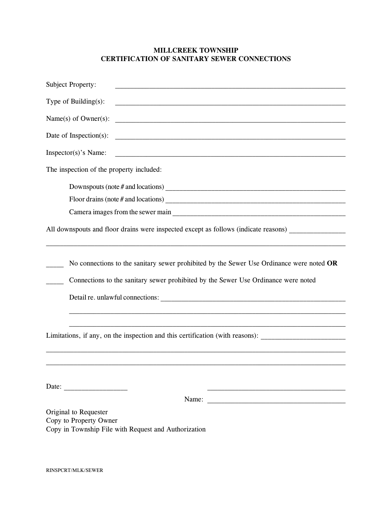#### **MILLCREEK TOWNSHIP CERTIFICATION OF SANITARY SEWER CONNECTIONS**

| <b>Subject Property:</b>                                                                                                                                                                                                                                                                                                                                                                                                                          |
|---------------------------------------------------------------------------------------------------------------------------------------------------------------------------------------------------------------------------------------------------------------------------------------------------------------------------------------------------------------------------------------------------------------------------------------------------|
| Type of Building $(s)$ :                                                                                                                                                                                                                                                                                                                                                                                                                          |
| Name $(s)$ of Owner $(s)$ :                                                                                                                                                                                                                                                                                                                                                                                                                       |
| Date of Inspection(s):                                                                                                                                                                                                                                                                                                                                                                                                                            |
| Inspector(s)'s Name:                                                                                                                                                                                                                                                                                                                                                                                                                              |
| The inspection of the property included:                                                                                                                                                                                                                                                                                                                                                                                                          |
|                                                                                                                                                                                                                                                                                                                                                                                                                                                   |
|                                                                                                                                                                                                                                                                                                                                                                                                                                                   |
|                                                                                                                                                                                                                                                                                                                                                                                                                                                   |
| All downspouts and floor drains were inspected except as follows (indicate reasons)                                                                                                                                                                                                                                                                                                                                                               |
|                                                                                                                                                                                                                                                                                                                                                                                                                                                   |
| No connections to the sanitary sewer prohibited by the Sewer Use Ordinance were noted OR                                                                                                                                                                                                                                                                                                                                                          |
| Connections to the sanitary sewer prohibited by the Sewer Use Ordinance were noted                                                                                                                                                                                                                                                                                                                                                                |
|                                                                                                                                                                                                                                                                                                                                                                                                                                                   |
|                                                                                                                                                                                                                                                                                                                                                                                                                                                   |
|                                                                                                                                                                                                                                                                                                                                                                                                                                                   |
| Limitations, if any, on the inspection and this certification (with reasons):                                                                                                                                                                                                                                                                                                                                                                     |
|                                                                                                                                                                                                                                                                                                                                                                                                                                                   |
|                                                                                                                                                                                                                                                                                                                                                                                                                                                   |
|                                                                                                                                                                                                                                                                                                                                                                                                                                                   |
| Date: $\frac{1}{\sqrt{1-\frac{1}{2}}}\left\{ \frac{1}{2} + \frac{1}{2} + \frac{1}{2} + \frac{1}{2} + \frac{1}{2} + \frac{1}{2} + \frac{1}{2} + \frac{1}{2} + \frac{1}{2} + \frac{1}{2} + \frac{1}{2} + \frac{1}{2} + \frac{1}{2} + \frac{1}{2} + \frac{1}{2} + \frac{1}{2} + \frac{1}{2} + \frac{1}{2} + \frac{1}{2} + \frac{1}{2} + \frac{1}{2} + \frac{1}{2} + \frac{1}{2} + \frac{1}{2} + \frac$                                               |
| Name: $\frac{1}{\sqrt{1-\frac{1}{2}} \cdot \frac{1}{\sqrt{1-\frac{1}{2}} \cdot \frac{1}{\sqrt{1-\frac{1}{2}} \cdot \frac{1}{\sqrt{1-\frac{1}{2}} \cdot \frac{1}{\sqrt{1-\frac{1}{2}} \cdot \frac{1}{\sqrt{1-\frac{1}{2}} \cdot \frac{1}{\sqrt{1-\frac{1}{2}} \cdot \frac{1}{\sqrt{1-\frac{1}{2}} \cdot \frac{1}{\sqrt{1-\frac{1}{2}} \cdot \frac{1}{\sqrt{1-\frac{1}{2}} \cdot \frac{1}{\sqrt{1-\frac{1}{2}} \cdot \frac{1}{\sqrt{1-\frac{1}{2}}$ |
| Original to Requester                                                                                                                                                                                                                                                                                                                                                                                                                             |
| Copy to Property Owner<br>Copy in Township File with Request and Authorization                                                                                                                                                                                                                                                                                                                                                                    |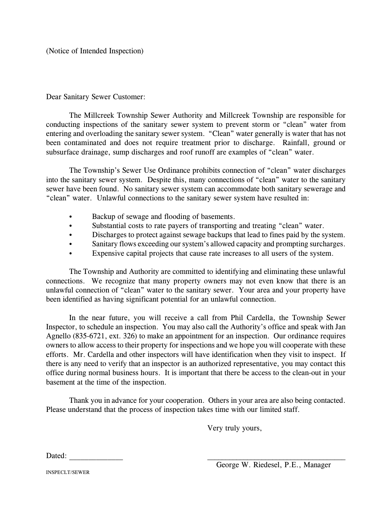(Notice of Intended Inspection)

Dear Sanitary Sewer Customer:

The Millcreek Township Sewer Authority and Millcreek Township are responsible for conducting inspections of the sanitary sewer system to prevent storm or "clean" water from entering and overloading the sanitary sewer system. "Clean" water generally is water that has not been contaminated and does not require treatment prior to discharge. Rainfall, ground or subsurface drainage, sump discharges and roof runoff are examples of "clean" water.

The Township's Sewer Use Ordinance prohibits connection of "clean" water discharges into the sanitary sewer system. Despite this, many connections of "clean" water to the sanitary sewer have been found. No sanitary sewer system can accommodate both sanitary sewerage and "clean" water. Unlawful connections to the sanitary sewer system have resulted in:

- Backup of sewage and flooding of basements.
- Substantial costs to rate payers of transporting and treating "clean" water.
- Discharges to protect against sewage backups that lead to fines paid by the system.
- Sanitary flows exceeding our system's allowed capacity and prompting surcharges.
- Expensive capital projects that cause rate increases to all users of the system.

The Township and Authority are committed to identifying and eliminating these unlawful connections. We recognize that many property owners may not even know that there is an unlawful connection of "clean" water to the sanitary sewer. Your area and your property have been identified as having significant potential for an unlawful connection.

In the near future, you will receive a call from Phil Cardella, the Township Sewer Inspector, to schedule an inspection. You may also call the Authority's office and speak with Jan Agnello (835-6721, ext. 326) to make an appointment for an inspection. Our ordinance requires owners to allow access to their property for inspections and we hope you will cooperate with these efforts. Mr. Cardella and other inspectors will have identification when they visit to inspect. If there is any need to verify that an inspector is an authorized representative, you may contact this office during normal business hours. It is important that there be access to the clean-out in your basement at the time of the inspection.

Thank you in advance for your cooperation. Others in your area are also being contacted. Please understand that the process of inspection takes time with our limited staff.

Very truly yours,

Dated:

INSPECLT/SEWER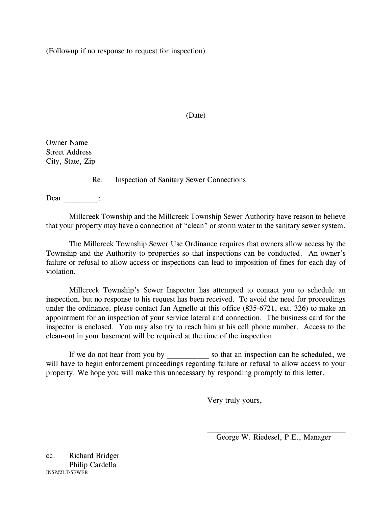(Followup if no response to request for inspection)

#### (Date)

Owner Name Street Address City, State, Zip

Re: Inspection of Sanitary Sewer Connections

Dear :

Millcreek Township and the Millcreek Township Sewer Authority have reason to believe that your property may have a connection of "clean" or storm water to the sanitary sewer system.

The Millcreek Township Sewer Use Ordinance requires that owners allow access by the Township and the Authority to properties so that inspections can be conducted. An owner's failure or refusal to allow access or inspections can lead to imposition of fines for each day of violation.

Millcreek Township's Sewer Inspector has attempted to contact you to schedule an inspection, but no response to his request has been received. To avoid the need for proceedings under the ordinance, please contact Jan Agnello at this office (835-6721, ext. 326) to make an appointment for an inspection of your service lateral and connection. The business card for the inspector is enclosed. You may also try to reach him at his cell phone number. Access to the clean-out in your basement will be required at the time of the inspection.

If we do not hear from you by so that an inspection can be scheduled, we will have to begin enforcement proceedings regarding failure or refusal to allow access to your property. We hope you will make this unnecessary by responding promptly to this letter.

Very truly yours,

George W. Riedesel, P.E., Manager

cc: Richard Bridger Philip Cardella INSP#2LT/SEWER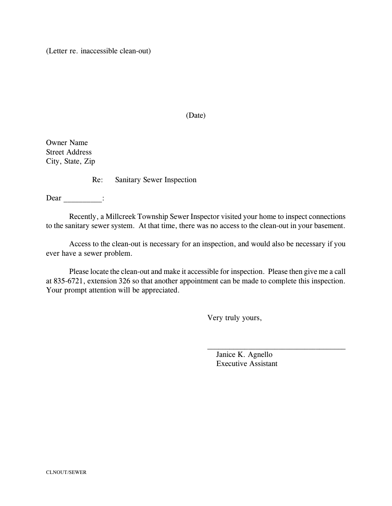(Letter re. inaccessible clean-out)

#### (Date)

Owner Name Street Address City, State, Zip

Re: Sanitary Sewer Inspection

 $Dear$   $\qquad$ :

Recently, a Millcreek Township Sewer Inspector visited your home to inspect connections to the sanitary sewer system. At that time, there was no access to the clean-out in your basement.

Access to the clean-out is necessary for an inspection, and would also be necessary if you ever have a sewer problem.

Please locate the clean-out and make it accessible for inspection. Please then give me a call at 835-6721, extension 326 so that another appointment can be made to complete this inspection. Your prompt attention will be appreciated.

Very truly yours,

 Janice K. Agnello Executive Assistant

 $\mathcal{L}_\text{max}$  , and the set of the set of the set of the set of the set of the set of the set of the set of the set of the set of the set of the set of the set of the set of the set of the set of the set of the set of the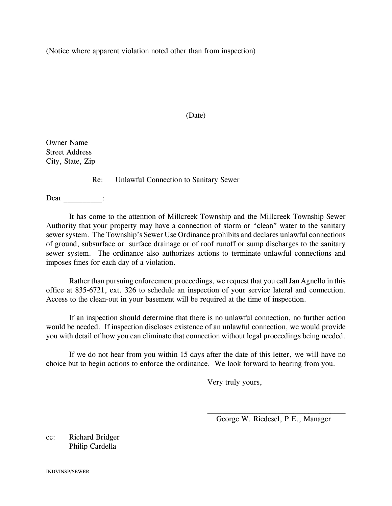(Notice where apparent violation noted other than from inspection)

#### (Date)

Owner Name Street Address City, State, Zip

Re: Unlawful Connection to Sanitary Sewer

Dear :

It has come to the attention of Millcreek Township and the Millcreek Township Sewer Authority that your property may have a connection of storm or "clean" water to the sanitary sewer system. The Township's Sewer Use Ordinance prohibits and declares unlawful connections of ground, subsurface or surface drainage or of roof runoff or sump discharges to the sanitary sewer system. The ordinance also authorizes actions to terminate unlawful connections and imposes fines for each day of a violation.

Rather than pursuing enforcement proceedings, we request that you call Jan Agnello in this office at 835-6721, ext. 326 to schedule an inspection of your service lateral and connection. Access to the clean-out in your basement will be required at the time of inspection.

If an inspection should determine that there is no unlawful connection, no further action would be needed. If inspection discloses existence of an unlawful connection, we would provide you with detail of how you can eliminate that connection without legal proceedings being needed.

If we do not hear from you within 15 days after the date of this letter, we will have no choice but to begin actions to enforce the ordinance. We look forward to hearing from you.

Very truly yours,

\_\_\_\_\_\_\_\_\_\_\_\_\_\_\_\_\_\_\_\_\_\_\_\_\_\_\_\_\_\_\_\_\_\_\_\_\_ George W. Riedesel, P.E., Manager

cc: Richard Bridger Philip Cardella

INDVINSP/SEWER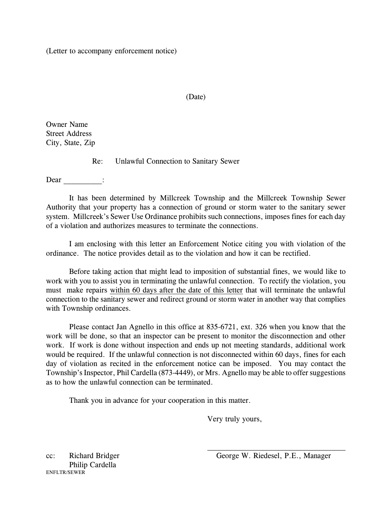(Letter to accompany enforcement notice)

#### (Date)

Owner Name Street Address City, State, Zip

Re: Unlawful Connection to Sanitary Sewer

Dear :

It has been determined by Millcreek Township and the Millcreek Township Sewer Authority that your property has a connection of ground or storm water to the sanitary sewer system. Millcreek's Sewer Use Ordinance prohibits such connections, imposes fines for each day of a violation and authorizes measures to terminate the connections.

I am enclosing with this letter an Enforcement Notice citing you with violation of the ordinance. The notice provides detail as to the violation and how it can be rectified.

Before taking action that might lead to imposition of substantial fines, we would like to work with you to assist you in terminating the unlawful connection. To rectify the violation, you must make repairs within 60 days after the date of this letter that will terminate the unlawful connection to the sanitary sewer and redirect ground or storm water in another way that complies with Township ordinances.

Please contact Jan Agnello in this office at 835-6721, ext. 326 when you know that the work will be done, so that an inspector can be present to monitor the disconnection and other work. If work is done without inspection and ends up not meeting standards, additional work would be required. If the unlawful connection is not disconnected within 60 days, fines for each day of violation as recited in the enforcement notice can be imposed. You may contact the Township's Inspector, Phil Cardella (873-4449), or Mrs. Agnello may be able to offer suggestions as to how the unlawful connection can be terminated.

Thank you in advance for your cooperation in this matter.

Very truly yours,

 $\overline{\phantom{a}}$  , where  $\overline{\phantom{a}}$  , where  $\overline{\phantom{a}}$  ,  $\overline{\phantom{a}}$  ,  $\overline{\phantom{a}}$  ,  $\overline{\phantom{a}}$  ,  $\overline{\phantom{a}}$  ,  $\overline{\phantom{a}}$  ,  $\overline{\phantom{a}}$  ,  $\overline{\phantom{a}}$  ,  $\overline{\phantom{a}}$  ,  $\overline{\phantom{a}}$  ,  $\overline{\phantom{a}}$  ,  $\overline{\phantom{a}}$  ,  $\overline{\phantom{a}}$  ,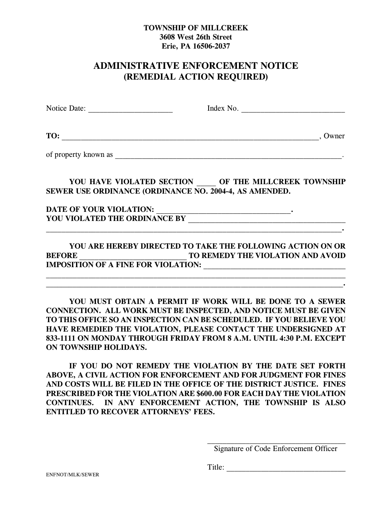## **TOWNSHIP OF MILLCREEK 3608 West 26th Street Erie, PA 16506-2037**

## **ADMINISTRATIVE ENFORCEMENT NOTICE (REMEDIAL ACTION REQUIRED)**

Notice Date: The Contract of the Most Contract of the Most Contract of the Most Contract of the Most Contract of the Most Contract of the Most Contract of the Most Contract of the Most Contract of the Most Contract of the **TO:** \_\_\_\_\_\_\_\_\_\_\_\_\_\_\_\_\_\_\_\_\_\_\_\_\_\_\_\_\_\_\_\_\_\_\_\_\_\_\_\_\_\_\_\_\_\_\_\_\_\_\_\_\_\_\_\_\_\_\_\_\_\_\_\_\_\_\_, Owner of property known as \_\_\_\_\_\_\_\_\_\_\_\_\_\_\_\_\_\_\_\_\_\_\_\_\_\_\_\_\_\_\_\_\_\_\_\_\_\_\_\_\_\_\_\_\_\_\_\_\_\_\_\_\_\_\_\_\_\_\_. YOU HAVE VIOLATED SECTION OF THE MILLCREEK TOWNSHIP **SEWER USE ORDINANCE (ORDINANCE NO. 2004-4, AS AMENDED.**

**DATE OF YOUR VIOLATION: \_\_\_\_\_\_\_\_\_\_\_\_\_\_\_\_\_\_\_\_\_\_\_\_\_\_\_\_\_\_\_\_\_\_\_. YOU VIOLATED THE ORDINANCE BY \_\_\_\_\_\_\_\_\_\_\_\_\_\_\_\_\_\_\_\_\_\_\_\_\_\_\_\_\_\_\_\_\_\_\_\_\_\_\_\_\_**

## **YOU ARE HEREBY DIRECTED TO TAKE THE FOLLOWING ACTION ON OR BEFORE BEFORE BEFORE REMEDY THE VIOLATION AND AVOID IMPOSITION OF A FINE FOR VIOLATION:**

**\_\_\_\_\_\_\_\_\_\_\_\_\_\_\_\_\_\_\_\_\_\_\_\_\_\_\_\_\_\_\_\_\_\_\_\_\_\_\_\_\_\_\_\_\_\_\_\_\_\_\_\_\_\_\_\_\_\_\_\_\_\_\_\_\_\_\_\_\_\_\_\_\_\_\_\_\_\_ \_\_\_\_\_\_\_\_\_\_\_\_\_\_\_\_\_\_\_\_\_\_\_\_\_\_\_\_\_\_\_\_\_\_\_\_\_\_\_\_\_\_\_\_\_\_\_\_\_\_\_\_\_\_\_\_\_\_\_\_\_\_\_\_\_\_\_\_\_\_\_\_\_\_\_\_\_\_.**

**\_\_\_\_\_\_\_\_\_\_\_\_\_\_\_\_\_\_\_\_\_\_\_\_\_\_\_\_\_\_\_\_\_\_\_\_\_\_\_\_\_\_\_\_\_\_\_\_\_\_\_\_\_\_\_\_\_\_\_\_\_\_\_\_\_\_\_\_\_\_\_\_\_\_\_\_\_.**

**YOU MUST OBTAIN A PERMIT IF WORK WILL BE DONE TO A SEWER CONNECTION. ALL WORK MUST BE INSPECTED, AND NOTICE MUST BE GIVEN TO THIS OFFICE SO AN INSPECTION CAN BE SCHEDULED. IF YOU BELIEVE YOU HAVE REMEDIED THE VIOLATION, PLEASE CONTACT THE UNDERSIGNED AT 833-1111 ON MONDAY THROUGH FRIDAY FROM 8 A.M. UNTIL 4:30 P.M. EXCEPT ON TOWNSHIP HOLIDAYS.** 

**IF YOU DO NOT REMEDY THE VIOLATION BY THE DATE SET FORTH ABOVE, A CIVIL ACTION FOR ENFORCEMENT AND FOR JUDGMENT FOR FINES AND COSTS WILL BE FILED IN THE OFFICE OF THE DISTRICT JUSTICE. FINES PRESCRIBED FOR THE VIOLATION ARE \$600.00 FOR EACH DAY THE VIOLATION CONTINUES. IN ANY ENFORCEMENT ACTION, THE TOWNSHIP IS ALSO ENTITLED TO RECOVER ATTORNEYS' FEES.**

Title:

Signature of Code Enforcement Officer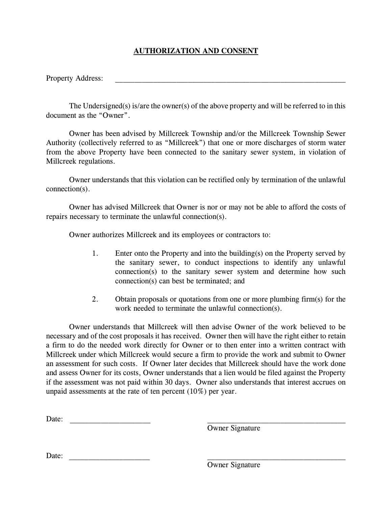## **AUTHORIZATION AND CONSENT**

Property Address:

The Undersigned(s) is/are the owner(s) of the above property and will be referred to in this document as the "Owner".

Owner has been advised by Millcreek Township and/or the Millcreek Township Sewer Authority (collectively referred to as "Millcreek") that one or more discharges of storm water from the above Property have been connected to the sanitary sewer system, in violation of Millcreek regulations.

Owner understands that this violation can be rectified only by termination of the unlawful connection(s).

Owner has advised Millcreek that Owner is nor or may not be able to afford the costs of repairs necessary to terminate the unlawful connection(s).

Owner authorizes Millcreek and its employees or contractors to:

- 1. Enter onto the Property and into the building(s) on the Property served by the sanitary sewer, to conduct inspections to identify any unlawful connection(s) to the sanitary sewer system and determine how such connection(s) can best be terminated; and
- 2. Obtain proposals or quotations from one or more plumbing firm(s) for the work needed to terminate the unlawful connection(s).

Owner understands that Millcreek will then advise Owner of the work believed to be necessary and of the cost proposals it has received. Owner then will have the right either to retain a firm to do the needed work directly for Owner or to then enter into a written contract with Millcreek under which Millcreek would secure a firm to provide the work and submit to Owner an assessment for such costs. If Owner later decides that Millcreek should have the work done and assess Owner for its costs, Owner understands that a lien would be filed against the Property if the assessment was not paid within 30 days. Owner also understands that interest accrues on unpaid assessments at the rate of ten percent (10%) per year.

Date: \_\_\_\_\_\_\_\_\_\_\_\_\_\_\_\_\_\_\_\_\_ \_\_\_\_\_\_\_\_\_\_\_\_\_\_\_\_\_\_\_\_\_\_\_\_\_\_\_\_\_\_\_\_\_\_\_\_

Owner Signature

Date:

Owner Signature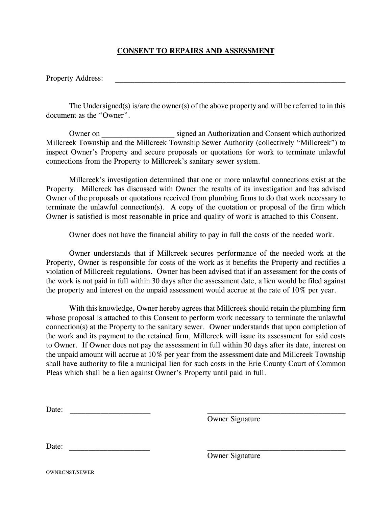## **CONSENT TO REPAIRS AND ASSESSMENT**

Property Address:

The Undersigned(s) is/are the owner(s) of the above property and will be referred to in this document as the "Owner".

Owner on \_\_\_\_\_\_\_\_\_\_\_\_\_\_\_\_\_\_\_ signed an Authorization and Consent which authorized Millcreek Township and the Millcreek Township Sewer Authority (collectively "Millcreek") to inspect Owner's Property and secure proposals or quotations for work to terminate unlawful connections from the Property to Millcreek's sanitary sewer system.

Millcreek's investigation determined that one or more unlawful connections exist at the Property. Millcreek has discussed with Owner the results of its investigation and has advised Owner of the proposals or quotations received from plumbing firms to do that work necessary to terminate the unlawful connection(s). A copy of the quotation or proposal of the firm which Owner is satisfied is most reasonable in price and quality of work is attached to this Consent.

Owner does not have the financial ability to pay in full the costs of the needed work.

Owner understands that if Millcreek secures performance of the needed work at the Property, Owner is responsible for costs of the work as it benefits the Property and rectifies a violation of Millcreek regulations. Owner has been advised that if an assessment for the costs of the work is not paid in full within 30 days after the assessment date, a lien would be filed against the property and interest on the unpaid assessment would accrue at the rate of 10% per year.

With this knowledge, Owner hereby agrees that Millcreek should retain the plumbing firm whose proposal is attached to this Consent to perform work necessary to terminate the unlawful connection(s) at the Property to the sanitary sewer. Owner understands that upon completion of the work and its payment to the retained firm, Millcreek will issue its assessment for said costs to Owner. If Owner does not pay the assessment in full within 30 days after its date, interest on the unpaid amount will accrue at 10% per year from the assessment date and Millcreek Township shall have authority to file a municipal lien for such costs in the Erie County Court of Common Pleas which shall be a lien against Owner's Property until paid in full.

| $\overline{\phantom{a}}$<br>гие<br>Daw. |  |
|-----------------------------------------|--|
|                                         |  |

Owner Signature

Date:  $\Box$ 

Owner Signature

OWNRCNST/SEWER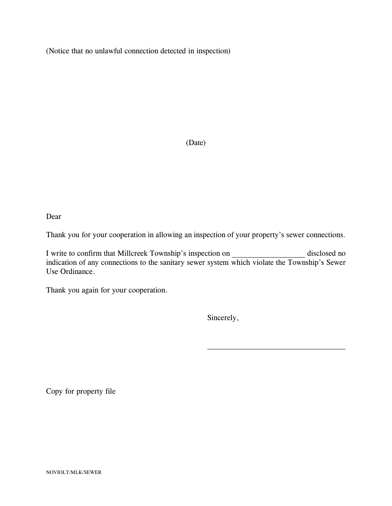(Notice that no unlawful connection detected in inspection)

(Date)

Dear

Thank you for your cooperation in allowing an inspection of your property's sewer connections.

I write to confirm that Millcreek Township's inspection on disclosed no indication of any connections to the sanitary sewer system which violate the Township's Sewer Use Ordinance.

Thank you again for your cooperation.

Sincerely,

 $\mathcal{L}_\text{max}$  , and the set of the set of the set of the set of the set of the set of the set of the set of the set of the set of the set of the set of the set of the set of the set of the set of the set of the set of the

Copy for property file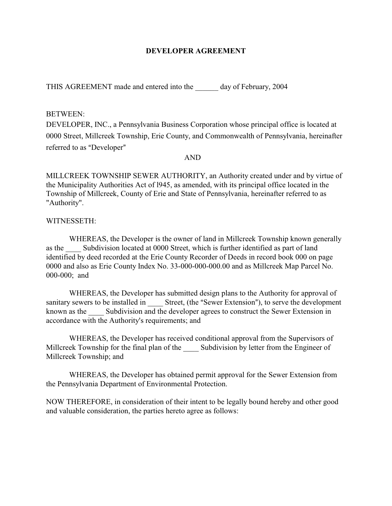#### **DEVELOPER AGREEMENT**

THIS AGREEMENT made and entered into the day of February, 2004

#### BETWEEN:

DEVELOPER, INC., a Pennsylvania Business Corporation whose principal office is located at 0000 Street, Millcreek Township, Erie County, and Commonwealth of Pennsylvania, hereinafter referred to as "Developer"

#### AND

MILLCREEK TOWNSHIP SEWER AUTHORITY, an Authority created under and by virtue of the Municipality Authorities Act of l945, as amended, with its principal office located in the Township of Millcreek, County of Erie and State of Pennsylvania, hereinafter referred to as "Authority".

#### WITNESSETH:

WHEREAS, the Developer is the owner of land in Millcreek Township known generally as the Subdivision located at 0000 Street, which is further identified as part of land identified by deed recorded at the Erie County Recorder of Deeds in record book 000 on page 0000 and also as Erie County Index No. 33-000-000-000.00 and as Millcreek Map Parcel No. 000-000; and

WHEREAS, the Developer has submitted design plans to the Authority for approval of sanitary sewers to be installed in Street, (the "Sewer Extension"), to serve the development known as the Subdivision and the developer agrees to construct the Sewer Extension in accordance with the Authority's requirements; and

WHEREAS, the Developer has received conditional approval from the Supervisors of Millcreek Township for the final plan of the Subdivision by letter from the Engineer of Millcreek Township; and

WHEREAS, the Developer has obtained permit approval for the Sewer Extension from the Pennsylvania Department of Environmental Protection.

NOW THEREFORE, in consideration of their intent to be legally bound hereby and other good and valuable consideration, the parties hereto agree as follows: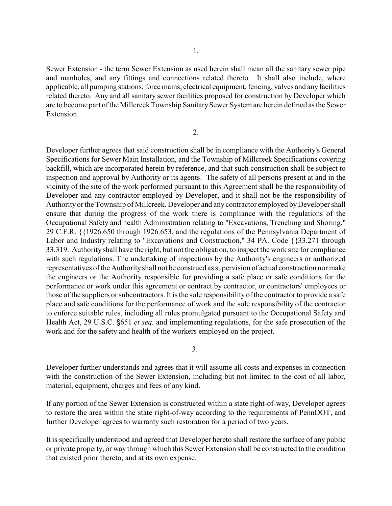Sewer Extension - the term Sewer Extension as used herein shall mean all the sanitary sewer pipe and manholes, and any fittings and connections related thereto. It shall also include, where applicable, all pumping stations, force mains, electrical equipment, fencing, valves and any facilities related thereto. Any and all sanitary sewer facilities proposed for construction by Developer which are to become part of the Millcreek Township Sanitary Sewer System are herein defined as the Sewer Extension.

2.

Developer further agrees that said construction shall be in compliance with the Authority's General Specifications for Sewer Main Installation, and the Township of Millcreek Specifications covering backfill, which are incorporated herein by reference, and that such construction shall be subject to inspection and approval by Authority or its agents. The safety of all persons present at and in the vicinity of the site of the work performed pursuant to this Agreement shall be the responsibility of Developer and any contractor employed by Developer, and it shall not be the responsibility of Authority or the Township of Millcreek. Developer and any contractor employed by Developer shall ensure that during the progress of the work there is compliance with the regulations of the Occupational Safety and health Administration relating to "Excavations, Trenching and Shoring," 29 C.F.R. {{1926.650 through 1926.653, and the regulations of the Pennsylvania Department of Labor and Industry relating to "Excavations and Construction," 34 PA. Code {{33.271 through 33.319. Authority shall have the right, but not the obligation, to inspect the work site for compliance with such regulations. The undertaking of inspections by the Authority's engineers or authorized representatives of the Authority shall not be construed as supervision of actual construction nor make the engineers or the Authority responsible for providing a safe place or safe conditions for the performance or work under this agreement or contract by contractor, or contractors' employees or those of the suppliers or subcontractors. It is the sole responsibility of the contractor to provide a safe place and safe conditions for the performance of work and the sole responsibility of the contractor to enforce suitable rules, including all rules promulgated pursuant to the Occupational Safety and Health Act, 29 U.S.C.  $\S651$  *et seq.* and implementing regulations, for the safe prosecution of the work and for the safety and health of the workers employed on the project.

3.

Developer further understands and agrees that it will assume all costs and expenses in connection with the construction of the Sewer Extension, including but not limited to the cost of all labor, material, equipment, charges and fees of any kind.

If any portion of the Sewer Extension is constructed within a state right-of-way, Developer agrees to restore the area within the state right-of-way according to the requirements of PennDOT, and further Developer agrees to warranty such restoration for a period of two years.

It is specifically understood and agreed that Developer hereto shall restore the surface of any public or private property, or way through which this Sewer Extension shall be constructed to the condition that existed prior thereto, and at its own expense.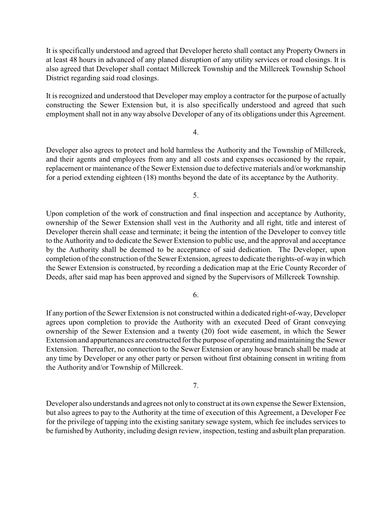It is specifically understood and agreed that Developer hereto shall contact any Property Owners in at least 48 hours in advanced of any planed disruption of any utility services or road closings. It is also agreed that Developer shall contact Millcreek Township and the Millcreek Township School District regarding said road closings.

It is recognized and understood that Developer may employ a contractor for the purpose of actually constructing the Sewer Extension but, it is also specifically understood and agreed that such employment shall not in any way absolve Developer of any of its obligations under this Agreement.

#### 4.

Developer also agrees to protect and hold harmless the Authority and the Township of Millcreek, and their agents and employees from any and all costs and expenses occasioned by the repair, replacement or maintenance of the Sewer Extension due to defective materials and/or workmanship for a period extending eighteen (18) months beyond the date of its acceptance by the Authority.

5.

Upon completion of the work of construction and final inspection and acceptance by Authority, ownership of the Sewer Extension shall vest in the Authority and all right, title and interest of Developer therein shall cease and terminate; it being the intention of the Developer to convey title to the Authority and to dedicate the Sewer Extension to public use, and the approval and acceptance by the Authority shall be deemed to be acceptance of said dedication. The Developer, upon completion of the construction of the Sewer Extension, agrees to dedicate the rights-of-way in which the Sewer Extension is constructed, by recording a dedication map at the Erie County Recorder of Deeds, after said map has been approved and signed by the Supervisors of Millcreek Township.

6.

If any portion of the Sewer Extension is not constructed within a dedicated right-of-way, Developer agrees upon completion to provide the Authority with an executed Deed of Grant conveying ownership of the Sewer Extension and a twenty (20) foot wide easement, in which the Sewer Extension and appurtenances are constructed for the purpose of operating and maintaining the Sewer Extension. Thereafter, no connection to the Sewer Extension or any house branch shall be made at any time by Developer or any other party or person without first obtaining consent in writing from the Authority and/or Township of Millcreek.

7.

Developer also understands and agrees not onlyto construct at its own expense the Sewer Extension, but also agrees to pay to the Authority at the time of execution of this Agreement, a Developer Fee for the privilege of tapping into the existing sanitary sewage system, which fee includes services to be furnished by Authority, including design review, inspection, testing and asbuilt plan preparation.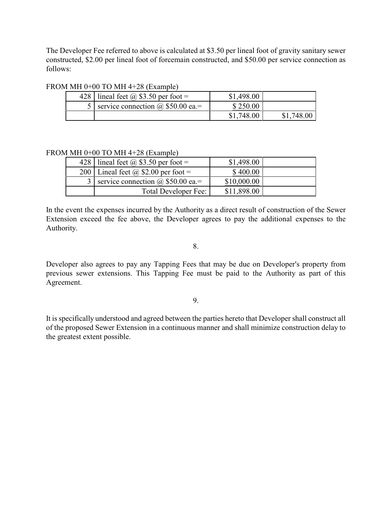The Developer Fee referred to above is calculated at \$3.50 per lineal foot of gravity sanitary sewer constructed, \$2.00 per lineal foot of forcemain constructed, and \$50.00 per service connection as follows:

#### FROM MH 0+00 TO MH 4+28 (Example)

|  | 428   lineal feet $\omega$ \$3.50 per foot = | \$1,498.00 |            |  |
|--|----------------------------------------------|------------|------------|--|
|  | service connection $\omega$ \$50.00 ea.=     | \$250.00   |            |  |
|  |                                              | \$1,748.00 | \$1,748.00 |  |

#### FROM MH 0+00 TO MH 4+28 (Example)

| 428   lineal feet @ \$3.50 per foot =        | \$1,498.00  |  |
|----------------------------------------------|-------------|--|
| 200   Lineal feet @ \$2.00 per foot =        | \$400.00    |  |
| 3   service connection $\omega$ \$50.00 ea.= | \$10,000.00 |  |
| Total Developer Fee:                         | \$11,898.00 |  |

In the event the expenses incurred by the Authority as a direct result of construction of the Sewer Extension exceed the fee above, the Developer agrees to pay the additional expenses to the Authority.

8.

Developer also agrees to pay any Tapping Fees that may be due on Developer's property from previous sewer extensions. This Tapping Fee must be paid to the Authority as part of this Agreement.

9.

It is specifically understood and agreed between the parties hereto that Developer shall construct all of the proposed Sewer Extension in a continuous manner and shall minimize construction delay to the greatest extent possible.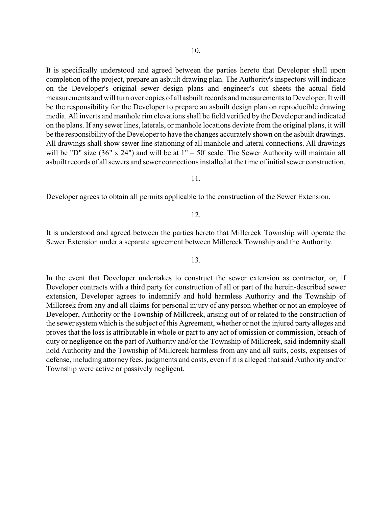It is specifically understood and agreed between the parties hereto that Developer shall upon completion of the project, prepare an asbuilt drawing plan. The Authority's inspectors will indicate on the Developer's original sewer design plans and engineer's cut sheets the actual field measurements and will turn over copies of all asbuilt records and measurements to Developer. It will be the responsibility for the Developer to prepare an asbuilt design plan on reproducible drawing media. All inverts and manhole rim elevations shall be field verified by the Developer and indicated on the plans. If any sewer lines, laterals, or manhole locations deviate from the original plans, it will be the responsibility of the Developer to have the changes accurately shown on the asbuilt drawings. All drawings shall show sewer line stationing of all manhole and lateral connections. All drawings will be "D" size  $(36" \times 24")$  and will be at  $1" = 50'$  scale. The Sewer Authority will maintain all asbuilt records of all sewers and sewer connections installed at the time of initial sewer construction.

#### 11.

Developer agrees to obtain all permits applicable to the construction of the Sewer Extension.

#### 12.

It is understood and agreed between the parties hereto that Millcreek Township will operate the Sewer Extension under a separate agreement between Millcreek Township and the Authority.

#### 13.

In the event that Developer undertakes to construct the sewer extension as contractor, or, if Developer contracts with a third party for construction of all or part of the herein-described sewer extension, Developer agrees to indemnify and hold harmless Authority and the Township of Millcreek from any and all claims for personal injury of any person whether or not an employee of Developer, Authority or the Township of Millcreek, arising out of or related to the construction of the sewer system which is the subject of this Agreement, whether or not the injured party alleges and proves that the loss is attributable in whole or part to any act of omission or commission, breach of duty or negligence on the part of Authority and/or the Township of Millcreek, said indemnity shall hold Authority and the Township of Millcreek harmless from any and all suits, costs, expenses of defense, including attorney fees, judgments and costs, even if it is alleged that said Authority and/or Township were active or passively negligent.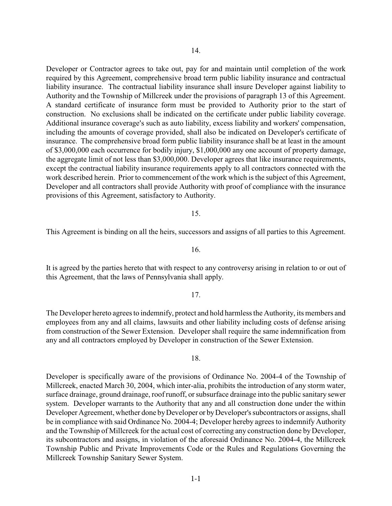Developer or Contractor agrees to take out, pay for and maintain until completion of the work required by this Agreement, comprehensive broad term public liability insurance and contractual liability insurance. The contractual liability insurance shall insure Developer against liability to Authority and the Township of Millcreek under the provisions of paragraph 13 of this Agreement. A standard certificate of insurance form must be provided to Authority prior to the start of construction. No exclusions shall be indicated on the certificate under public liability coverage. Additional insurance coverage's such as auto liability, excess liability and workers' compensation, including the amounts of coverage provided, shall also be indicated on Developer's certificate of insurance. The comprehensive broad form public liability insurance shall be at least in the amount of \$3,000,000 each occurrence for bodily injury, \$1,000,000 any one account of property damage, the aggregate limit of not less than \$3,000,000. Developer agrees that like insurance requirements, except the contractual liability insurance requirements apply to all contractors connected with the work described herein. Prior to commencement of the work which is the subject of this Agreement, Developer and all contractors shall provide Authority with proof of compliance with the insurance provisions of this Agreement, satisfactory to Authority.

#### 15.

This Agreement is binding on all the heirs, successors and assigns of all parties to this Agreement.

16.

It is agreed by the parties hereto that with respect to any controversy arising in relation to or out of this Agreement, that the laws of Pennsylvania shall apply.

#### 17.

The Developer hereto agrees to indemnify, protect and hold harmless the Authority, its members and employees from any and all claims, lawsuits and other liability including costs of defense arising from construction of the Sewer Extension. Developer shall require the same indemnification from any and all contractors employed by Developer in construction of the Sewer Extension.

#### 18.

Developer is specifically aware of the provisions of Ordinance No. 2004-4 of the Township of Millcreek, enacted March 30, 2004, which inter-alia, prohibits the introduction of any storm water, surface drainage, ground drainage, roof runoff, or subsurface drainage into the public sanitary sewer system. Developer warrants to the Authority that any and all construction done under the within Developer Agreement, whether done by Developer or by Developer's subcontractors or assigns, shall be in compliance with said Ordinance No. 2004-4; Developer hereby agrees to indemnify Authority and the Township of Millcreek for the actual cost of correcting any construction done by Developer, its subcontractors and assigns, in violation of the aforesaid Ordinance No. 2004-4, the Millcreek Township Public and Private Improvements Code or the Rules and Regulations Governing the Millcreek Township Sanitary Sewer System.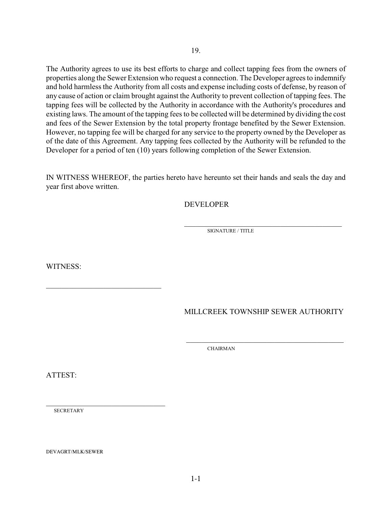The Authority agrees to use its best efforts to charge and collect tapping fees from the owners of properties along the Sewer Extension who request a connection. The Developer agrees to indemnify and hold harmless the Authority from all costs and expense including costs of defense, by reason of any cause of action or claim brought against the Authority to prevent collection of tapping fees. The tapping fees will be collected by the Authority in accordance with the Authority's procedures and existing laws. The amount of the tapping fees to be collected will be determined by dividing the cost and fees of the Sewer Extension by the total property frontage benefited by the Sewer Extension. However, no tapping fee will be charged for any service to the property owned by the Developer as of the date of this Agreement. Any tapping fees collected by the Authority will be refunded to the Developer for a period of ten (10) years following completion of the Sewer Extension.

19.

IN WITNESS WHEREOF, the parties hereto have hereunto set their hands and seals the day and year first above written.

 $\overline{\phantom{a}}$  , and the contract of the contract of the contract of the contract of the contract of the contract of the contract of the contract of the contract of the contract of the contract of the contract of the contrac

 $\overline{\phantom{a}}$  ,  $\overline{\phantom{a}}$  ,  $\overline{\phantom{a}}$  ,  $\overline{\phantom{a}}$  ,  $\overline{\phantom{a}}$  ,  $\overline{\phantom{a}}$  ,  $\overline{\phantom{a}}$  ,  $\overline{\phantom{a}}$  ,  $\overline{\phantom{a}}$  ,  $\overline{\phantom{a}}$  ,  $\overline{\phantom{a}}$  ,  $\overline{\phantom{a}}$  ,  $\overline{\phantom{a}}$  ,  $\overline{\phantom{a}}$  ,  $\overline{\phantom{a}}$  ,  $\overline{\phantom{a}}$ 

DEVELOPER

SIGNATURE / TITLE

WITNESS:

\_\_\_\_\_\_\_\_\_\_\_\_\_\_\_\_\_\_\_\_\_\_\_\_\_\_\_\_\_\_

\_\_\_\_\_\_\_\_\_\_\_\_\_\_\_\_\_\_\_\_\_\_\_\_\_\_\_\_\_\_\_

MILLCREEK TOWNSHIP SEWER AUTHORITY

CHAIRMAN

ATTEST:

**SECRETARY** 

DEVAGRT/MLK/SEWER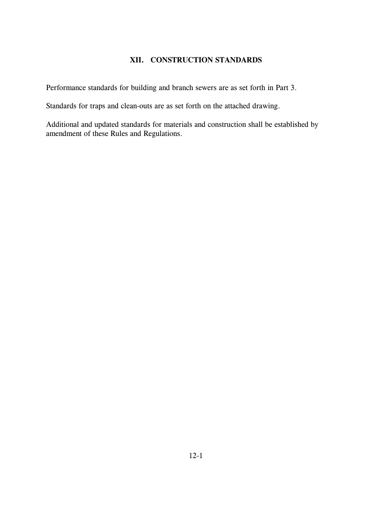## **XII. CONSTRUCTION STANDARDS**

Performance standards for building and branch sewers are as set forth in Part 3.

Standards for traps and clean-outs are as set forth on the attached drawing.

Additional and updated standards for materials and construction shall be established by amendment of these Rules and Regulations.